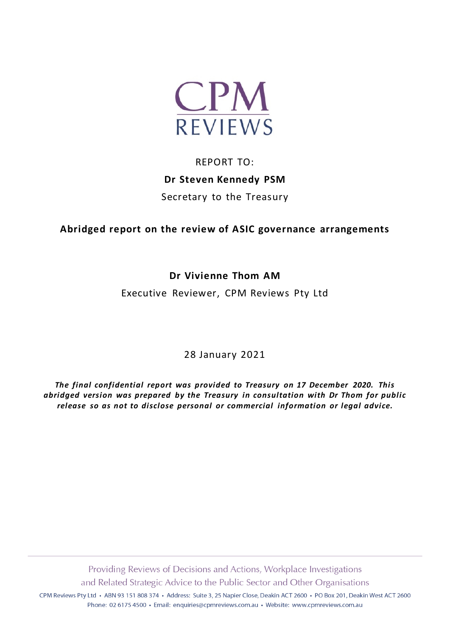

# REPORT TO: **Dr Steven Kennedy PSM** Secretary to the Treasury

**Abridged report on the review of ASIC governance arrangements**

# **Dr Vivienne Thom AM**

Executive Reviewer, CPM Reviews Pty Ltd

28 January 2021

*The final confidential report was provided to Treasury on 17 December 2020. This abridged version was prepared by the Treasury in consultation with Dr Thom for public release so as not to disclose personal or commercial information or legal advice.*

Providing Reviews of Decisions and Actions, Workplace Investigations and Related Strategic Advice to the Public Sector and Other Organisations

CPM Reviews Pty Ltd · ABN 93 151 808 374 · Address: Suite 3, 25 Napier Close, Deakin ACT 2600 · PO Box 201, Deakin West ACT 2600 Phone: 02 6175 4500 · Email: enquiries@cpmreviews.com.au · Website: www.cpmreviews.com.au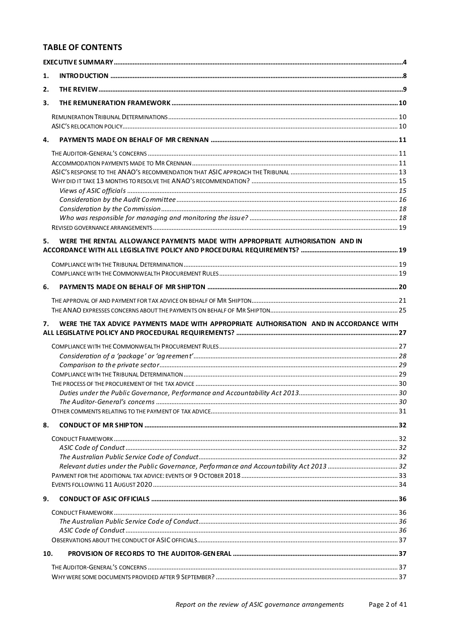# **TABLE OF CONTENTS**

| 1.  |                                                                                         |  |
|-----|-----------------------------------------------------------------------------------------|--|
| 2.  |                                                                                         |  |
| 3.  |                                                                                         |  |
|     |                                                                                         |  |
|     |                                                                                         |  |
| 4.  |                                                                                         |  |
|     |                                                                                         |  |
|     |                                                                                         |  |
|     |                                                                                         |  |
|     |                                                                                         |  |
|     |                                                                                         |  |
|     |                                                                                         |  |
|     |                                                                                         |  |
|     |                                                                                         |  |
| 5.  | WERE THE RENTAL ALLOWANCE PAYMENTS MADE WITH APPROPRIATE AUTHORISATION AND IN           |  |
|     |                                                                                         |  |
|     |                                                                                         |  |
|     |                                                                                         |  |
| 6.  |                                                                                         |  |
|     |                                                                                         |  |
|     |                                                                                         |  |
|     |                                                                                         |  |
| 7.  | WERE THE TAX ADVICE PAYMENTS MADE WITH APPROPRIATE AUTHORISATION AND IN ACCORDANCE WITH |  |
|     |                                                                                         |  |
|     |                                                                                         |  |
|     |                                                                                         |  |
|     |                                                                                         |  |
|     |                                                                                         |  |
|     |                                                                                         |  |
|     |                                                                                         |  |
|     |                                                                                         |  |
|     |                                                                                         |  |
| 8.  |                                                                                         |  |
|     |                                                                                         |  |
|     |                                                                                         |  |
|     |                                                                                         |  |
|     |                                                                                         |  |
|     |                                                                                         |  |
|     |                                                                                         |  |
| 9.  |                                                                                         |  |
|     |                                                                                         |  |
|     |                                                                                         |  |
|     |                                                                                         |  |
|     |                                                                                         |  |
| 10. |                                                                                         |  |
|     |                                                                                         |  |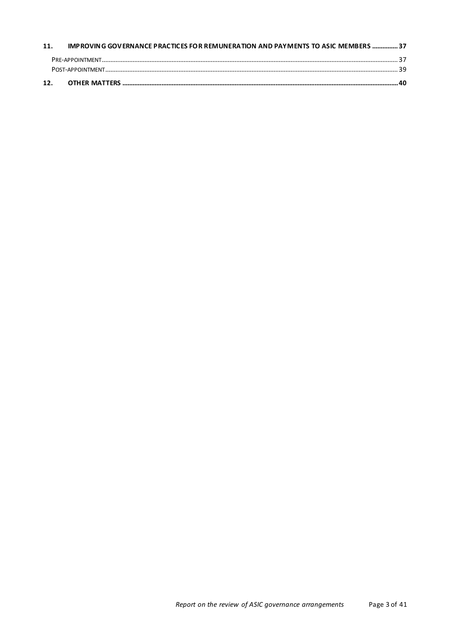| 11. | IMPROVING GOVERNANCE PRACTICES FOR REMUNERATION AND PAYMENTS TO ASIC MEMBERS  37 |  |
|-----|----------------------------------------------------------------------------------|--|
|     |                                                                                  |  |
|     |                                                                                  |  |
| 12. |                                                                                  |  |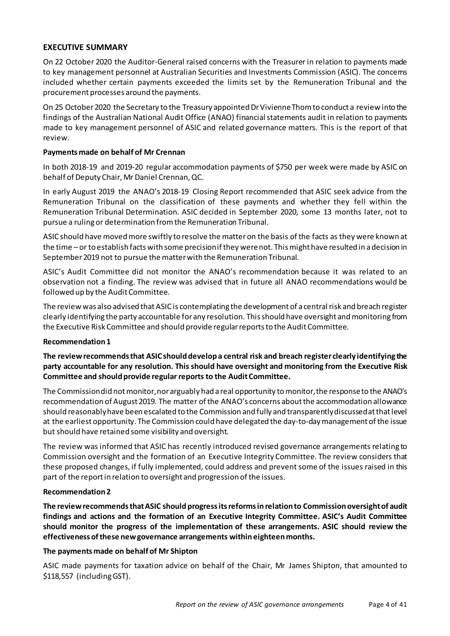#### <span id="page-3-0"></span>**EXECUTIVE SUMMARY**

On 22 October 2020 the Auditor-General raised concerns with the Treasurer in relation to payments made to key management personnel at Australian Securities and Investments Commission (ASIC). The concerns included whether certain payments exceeded the limits set by the Remuneration Tribunal and the procurement processes around the payments.

On 25 October 2020 the Secretary to the Treasury appointed Dr Vivienne Thom to conduct a review into the findings of the Australian National Audit Office (ANAO) financial statements audit in relation to payments made to key management personnel of ASIC and related governance matters. This is the report of that review.

#### **Payments made on behalf of Mr Crennan**

In both 2018-19 and 2019-20 regular accommodation payments of \$750 per week were made by ASIC on behalf of Deputy Chair, Mr Daniel Crennan, QC.

In early August 2019 the ANAO's 2018-19 Closing Report recommended that ASIC seek advice from the Remuneration Tribunal on the classification of these payments and whether they fell within the Remuneration Tribunal Determination. ASIC decided in September 2020, some 13 months later, not to pursue a ruling or determination from the Remuneration Tribunal.

ASIC should have moved more swiftly to resolve the matter on the basis of the facts as they were known at the time – or to establish facts with some precision if they were not. This might have resulted in a decision in September 2019 not to pursue the matter with the Remuneration Tribunal.

ASIC's Audit Committee did not monitor the ANAO's recommendation because it was related to an observation not a finding. The review was advised that in future all ANAO recommendations would be followed up by the Audit Committee.

The review was also advised that ASIC is contemplating the development of a central risk and breach register clearly identifying the party accountable for any resolution. This should have oversight and monitoring from the Executive Risk Committee and should provide regular reports to the Audit Committee.

#### **Recommendation 1**

**The review recommends that ASIC should develop a central risk and breach register clearly identifying the party accountable for any resolution. This should have oversight and monitoring from the Executive Risk Committee and should provide regular reports to the Audit Committee.**

The Commission did not monitor, nor arguably had a real opportunity to monitor, the response to the ANAO's recommendation of August 2019. The matter of the ANAO's concerns about the accommodation allowance should reasonably have been escalated to the Commission and fully and transparently discussed at that level at the earliest opportunity. The Commission could have delegated the day-to-day management of the issue but should have retained some visibility and oversight.

The review was informed that ASIC has recently introduced revised governance arrangements relating to Commission oversight and the formation of an Executive Integrity Committee. The review considers that these proposed changes, if fully implemented, could address and prevent some of the issues raised in this part of the report in relation to oversight and progression of the issues.

#### **Recommendation 2**

**The review recommends that ASIC should progress its reforms in relation to Commission oversight of audit findings and actions and the formation of an Executive Integrity Committee. ASIC's Audit Committee should monitor the progress of the implementation of these arrangements. ASIC should review the effectiveness of these new governance arrangements within eighteen months.**

#### **The payments made on behalf of Mr Shipton**

ASIC made payments for taxation advice on behalf of the Chair, Mr James Shipton, that amounted to \$118,557 (including GST).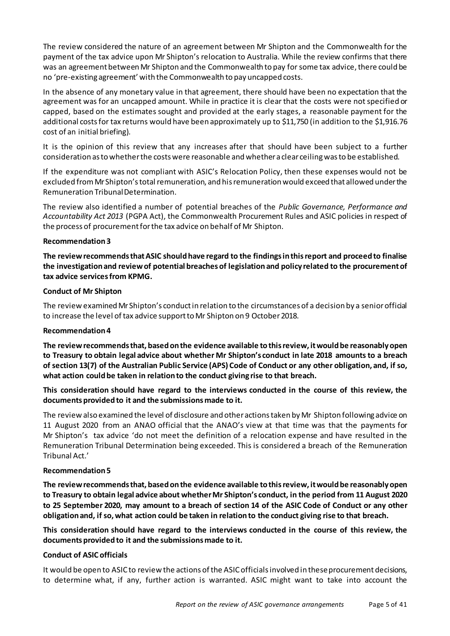The review considered the nature of an agreement between Mr Shipton and the Commonwealth for the payment of the tax advice upon Mr Shipton's relocation to Australia. While the review confirms that there was an agreement between Mr Shipton and the Commonwealth to pay for some tax advice, there could be no 'pre-existing agreement' with the Commonwealth to pay uncapped costs.

In the absence of any monetary value in that agreement, there should have been no expectation that the agreement was for an uncapped amount. While in practice it is clear that the costs were not specified or capped, based on the estimates sought and provided at the early stages, a reasonable payment for the additional costs for tax returns would have been approximately up to \$11,750 (in addition to the \$1,916.76 cost of an initial briefing).

It is the opinion of this review that any increases after that should have been subject to a further consideration as to whether the costs were reasonable and whether a clear ceiling was to be established.

If the expenditure was not compliant with ASIC's Relocation Policy, then these expenses would not be excluded from Mr Shipton's total remuneration, and his remuneration would exceed that allowed under the Remuneration Tribunal Determination.

The review also identified a number of potential breaches of the *Public Governance, Performance and Accountability Act 2013* (PGPA Act), the Commonwealth Procurement Rules and ASIC policies in respect of the process of procurement for the tax advice on behalf of Mr Shipton.

#### **Recommendation 3**

**The review recommends that ASIC should have regard to the findings in this report and proceed to finalise the investigation and review of potential breaches of legislation and policy related to the procurement of tax advice services from KPMG.** 

#### **Conduct of Mr Shipton**

The review examined Mr Shipton's conduct in relation to the circumstances of a decision by a senior official to increase the level of tax advice support to Mr Shipton on 9 October 2018.

#### **Recommendation 4**

**The review recommends that, based on the evidence available to this review, it would be reasonably open to Treasury to obtain legal advice about whether Mr Shipton's conduct in late 2018 amounts to a breach of section 13(7) of the Australian Public Service (APS) Code of Conduct or any other obligation, and, if so, what action could be taken in relation to the conduct giving rise to that breach.**

# **This consideration should have regard to the interviews conducted in the course of this review, the documents provided to it and the submissions made to it.**

The review also examined the level of disclosure and other actions taken by Mr Shipton following advice on 11 August 2020 from an ANAO official that the ANAO's view at that time was that the payments for Mr Shipton's tax advice 'do not meet the definition of a relocation expense and have resulted in the Remuneration Tribunal Determination being exceeded. This is considered a breach of the Remuneration Tribunal Act.'

# **Recommendation 5**

**The review recommends that, based on the evidence available to this review, it would be reasonably open to Treasury to obtain legal advice about whether Mr Shipton's conduct, in the period from 11 August 2020 to 25 September 2020, may amount to a breach of section 14 of the ASIC Code of Conduct or any other obligation and, if so, what action could be taken in relation to the conduct giving rise to that breach.**

**This consideration should have regard to the interviews conducted in the course of this review, the documents provided to it and the submissions made to it.**

# **Conduct of ASIC officials**

It would be open to ASIC to review the actions of the ASIC officials involved in these procurement decisions, to determine what, if any, further action is warranted. ASIC might want to take into account the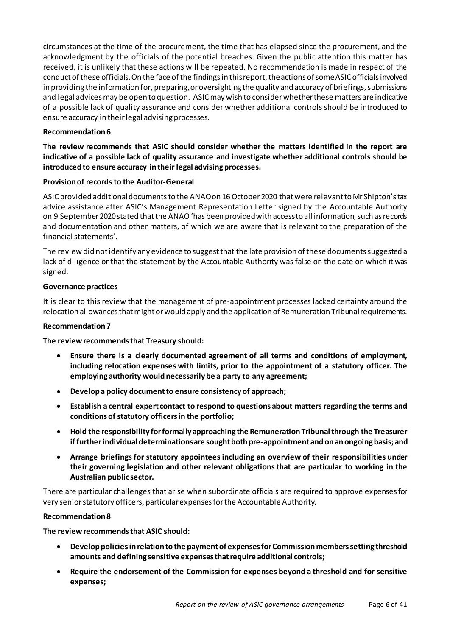circumstances at the time of the procurement, the time that has elapsed since the procurement, and the acknowledgment by the officials of the potential breaches. Given the public attention this matter has received, it is unlikely that these actions will be repeated. No recommendation is made in respect of the conduct of these officials.On the face of the findings in this report, the actions of some ASIC officials involved in providing the information for, preparing, or oversighting the quality and accuracy of briefings, submissions and legal advicesmay be open to question. ASIC may wish to consider whether these matters are indicative of a possible lack of quality assurance and consider whether additional controls should be introduced to ensure accuracy in their legal advising processes.

#### **Recommendation 6**

**The review recommends that ASIC should consider whether the matters identified in the report are indicative of a possible lack of quality assurance and investigate whether additional controls should be introduced to ensure accuracy in their legal advising processes.**

#### **Provision of records to the Auditor-General**

ASIC provided additional documents to the ANAO on 16 October 2020 that were relevant to Mr Shipton's tax advice assistance after ASIC's Management Representation Letter signed by the Accountable Authority on 9 September 2020 stated that the ANAO 'has been provided with access to all information, such as records and documentation and other matters, of which we are aware that is relevant to the preparation of the financial statements'.

The review did not identify any evidence to suggest that the late provision of these documents suggested a lack of diligence or that the statement by the Accountable Authority was false on the date on which it was signed.

#### **Governance practices**

It is clear to this review that the management of pre-appointment processes lacked certainty around the relocation allowances that might or would apply and the application of Remuneration Tribunal requirements.

#### **Recommendation 7**

**The review recommends that Treasury should:**

- **Ensure there is a clearly documented agreement of all terms and conditions of employment, including relocation expenses with limits, prior to the appointment of a statutory officer. The employing authority would necessarily be a party to any agreement;**
- **Develop a policy document to ensure consistency of approach;**
- **Establish a central expert contact to respond to questions about matters regarding the terms and conditions of statutory officers in the portfolio;**
- **Hold the responsibility for formally approaching the Remuneration Tribunal through the Treasurer if further individual determinations are sought both pre-appointment and on an ongoing basis; and**
- **Arrange briefings for statutory appointees including an overview of their responsibilities under their governing legislation and other relevant obligations that are particular to working in the Australian public sector.**

There are particular challenges that arise when subordinate officials are required to approve expenses for very senior statutory officers, particular expenses for the Accountable Authority.

#### **Recommendation 8**

# **The review recommends that ASIC should:**

- **Develop policies in relation tothe payment of expenses for Commission members setting threshold amounts and defining sensitive expenses that require additional controls;**
- **Require the endorsement of the Commission for expenses beyond a threshold and for sensitive expenses;**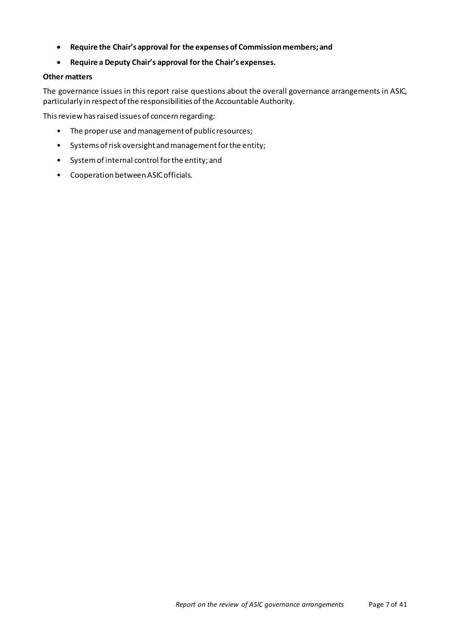- **Require the Chair's approval for the expenses of Commission members; and**
- **Require a Deputy Chair's approval for the Chair's expenses.**

#### **Other matters**

The governance issues in this report raise questions about the overall governance arrangements in ASIC, particularly in respect of the responsibilities of the Accountable Authority.

This review has raised issues of concern regarding:

- The proper use and management of public resources;
- Systems of risk oversight and management for the entity;
- System of internal control for the entity; and
- Cooperation between ASIC officials.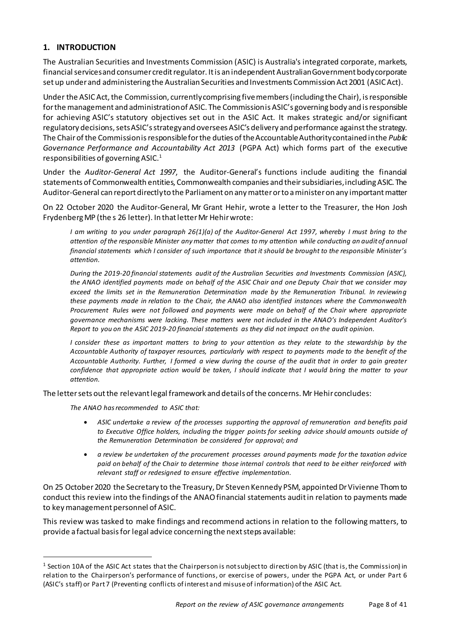# <span id="page-7-0"></span>**1. INTRODUCTION**

The Australian Securities and Investments Commission (ASIC) is Australia's integrated corporate, markets, financial services and consumer credit regulator. Itis an independent Australian Government body corporate set up under and administering the Australian Securities and Investments Commission Act 2001 (ASIC Act).

Under the ASIC Act, the Commission, currently comprising five members(including the Chair), is responsible for the management and administration of ASIC. The Commission is ASIC's governing body and is responsible for achieving ASIC's statutory objectives set out in the ASIC Act. It makes strategic and/or significant regulatory decisions, sets ASIC's strategy and oversees ASIC's delivery and performance against the strategy. The Chair of the Commission is responsible for the duties of the Accountable Authority contained in the *Public Governance Performance and Accountability Act 2013* (PGPA Act) which forms part of the executive responsibilities of governing  $ASIC.<sup>1</sup>$  $ASIC.<sup>1</sup>$  $ASIC.<sup>1</sup>$ 

Under the *Auditor-General Act 1997*, the Auditor-General's functions include auditing the financial statements of Commonwealth entities, Commonwealth companies and their subsidiaries,including ASIC. The Auditor-General can report directly to the Parliament on any matter or to a minister on any important matter

On 22 October 2020 the Auditor-General, Mr Grant Hehir, wrote a letter to the Treasurer, the Hon Josh FrydenbergMP (the s 26 letter). In that letter Mr Hehir wrote:

*I am writing to you under paragraph 26(1)(a) of the Auditor-General Act 1997, whereby I must bring to the attention of the responsible Minister any matter that comes to my attention while conducting an audit of annual financial statements which I consider of such importance that it should be brought to the responsible Minister's attention.*

*During the 2019-20 financial statements audit of the Australian Securities and Investments Commission (ASIC), the ANAO identified payments made on behalf of the ASIC Chair and one Deputy Chair that we consider may exceed the limits set in the Remuneration Determination made by the Remuneration Tribunal. In reviewing these payments made in relation to the Chair, the ANAO also identified instances where the Commonwealth Procurement Rules were not followed and payments were made on behalf of the Chair where appropriate governance mechanisms were lacking. These matters were not included in the ANAO's Independent Auditor's Report to you on the ASIC 2019-20 financial statements as they did not impact on the audit opinion.*

*I consider these as important matters to bring to your attention as they relate to the stewardship by the Accountable Authority of taxpayer resources, particularly with respect to payments made to the benefit of the Accountable Authority. Further, I formed a view during the course of the audit that in order to gain greater confidence that appropriate action would be taken, I should indicate that I would bring the matter to your attention.*

The letter sets out the relevant legal framework and details of the concerns. Mr Hehir concludes:

*The ANAO has recommended to ASIC that:*

- *ASIC undertake a review of the processes supporting the approval of remuneration and benefits paid to Executive Office holders, including the trigger points for seeking advice should amounts outside of the Remuneration Determination be considered for approval; and*
- *a review be undertaken of the procurement processes around payments made for the taxation advice paid on behalf of the Chair to determine those internal controls that need to be either reinforced with relevant staff or redesigned to ensure effective implementation.*

On 25 October 2020 the Secretary to the Treasury, Dr Steven Kennedy PSM, appointed Dr Vivienne Thom to conduct this review into the findings of the ANAO financial statements audit in relation to payments made to key management personnel of ASIC.

This review was tasked to make findings and recommend actions in relation to the following matters, to provide a factual basis for legal advice concerning the next steps available:

<span id="page-7-1"></span> <sup>1</sup> Section 10A of the ASIC Act states that the Chairperson is not subject to direction by ASIC (that is, the Commission) in relation to the Chairperson's performance of functions, or exercise of powers, under the PGPA Act, or under Part 6 (ASIC's staff) or Part 7 (Preventing conflicts of interest and misuse of information) of the ASIC Act.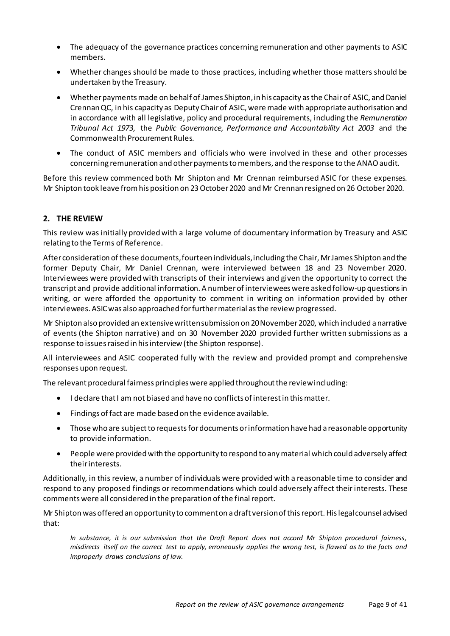- The adequacy of the governance practices concerning remuneration and other payments to ASIC members.
- Whether changes should be made to those practices, including whether those matters should be undertaken by the Treasury.
- Whether payments made on behalf of James Shipton, in his capacity as the Chairof ASIC, and Daniel Crennan QC, in his capacity as Deputy Chair of ASIC, were made with appropriate authorisation and in accordance with all legislative, policy and procedural requirements, including the *Remuneration Tribunal Act 1973*, the *Public Governance, Performance and Accountability Act 2003* and the Commonwealth Procurement Rules.
- The conduct of ASIC members and officials who were involved in these and other processes concerning remuneration and other payments to members, and the response to the ANAO audit.

Before this review commenced both Mr Shipton and Mr Crennan reimbursed ASIC for these expenses. Mr Shipton took leave from his position on 23 October 2020 and Mr Crennan resigned on 26 October 2020.

# <span id="page-8-0"></span>**2. THE REVIEW**

This review was initially provided with a large volume of documentary information by Treasury and ASIC relating to the Terms of Reference.

After consideration of these documents, fourteen individuals, including the Chair, Mr James Shipton and the former Deputy Chair, Mr Daniel Crennan, were interviewed between 18 and 23 November 2020. Interviewees were provided with transcripts of their interviews and given the opportunity to correct the transcript and provide additional information. A number of interviewees were asked follow-up questionsin writing, or were afforded the opportunity to comment in writing on information provided by other interviewees. ASIC was also approached for further material as the review progressed.

Mr Shipton also provided an extensive written submission on 20 November 2020, which included a narrative of events (the Shipton narrative) and on 30 November 2020 provided further written submissions as a response to issues raised in his interview (the Shipton response).

All interviewees and ASIC cooperated fully with the review and provided prompt and comprehensive responses upon request.

The relevant procedural fairness principles were applied throughout the review including:

- I declare that I am not biased and have no conflicts of interest in this matter.
- Findings of fact are made based on the evidence available.
- Those who are subject to requests for documents or information have had a reasonable opportunity to provide information.
- People were provided with the opportunity to respond to any material which could adversely affect their interests.

Additionally, in this review, a number of individuals were provided with a reasonable time to consider and respond to any proposed findings or recommendations which could adversely affect their interests. These commentswere all considered in the preparation of the final report.

Mr Shipton was offered an opportunity to comment on a draft version of this report. His legal counsel advised that:

*In substance, it is our submission that the Draft Report does not accord Mr Shipton procedural fairness, misdirects itself on the correct test to apply, erroneously applies the wrong test, is flawed as to the facts and improperly draws conclusions of law.*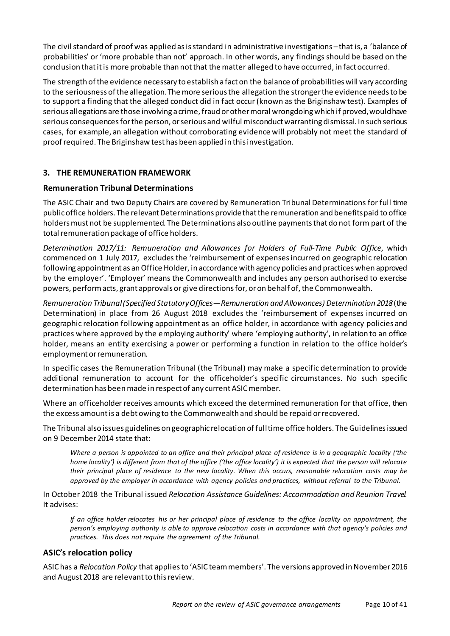The civil standard of proof was applied as is standard in administrative investigations –that is, a 'balance of probabilities' or 'more probable than not' approach. In other words, any findings should be based on the conclusion that it is more probable than not that the matter alleged to have occurred, in fact occurred.

The strength of the evidence necessary to establish a fact on the balance of probabilities will vary according to the seriousness of the allegation. The more serious the allegation the stronger the evidence needs to be to support a finding that the alleged conduct did in fact occur (known as the Briginshaw test). Examples of serious allegations are those involving a crime, fraud or other moral wrongdoing which if proved, would have serious consequences for the person, or serious and wilful misconduct warranting dismissal. In such serious cases, for example, an allegation without corroborating evidence will probably not meet the standard of proof required. The Briginshaw test has been applied in this investigation.

# <span id="page-9-0"></span>**3. THE REMUNERATION FRAMEWORK**

# <span id="page-9-1"></span>**Remuneration Tribunal Determinations**

The ASIC Chair and two Deputy Chairs are covered by Remuneration Tribunal Determinations for full time public office holders. The relevant Determinations provide that the remuneration and benefits paid to office holders must not be supplemented. The Determinations also outline payments that do not form part of the total remuneration package of office holders.

*Determination 2017/11: Remuneration and Allowances for Holders of Full-Time Public Office*, which commenced on 1 July 2017, excludes the 'reimbursement of expenses incurred on geographic relocation following appointment as an Office Holder, in accordance with agency policies and practices when approved by the employer'. 'Employer' means the Commonwealth and includes any person authorised to exercise powers, perform acts, grant approvals or give directions for, or on behalf of, the Commonwealth.

*Remuneration Tribunal (Specified Statutory Offices—Remuneration and Allowances) Determination 2018*(the Determination) in place from 26 August 2018 excludes the 'reimbursement of expenses incurred on geographic relocation following appointment as an office holder, in accordance with agency policies and practices where approved by the employing authority' where 'employing authority', in relation to an office holder, means an entity exercising a power or performing a function in relation to the office holder's employment or remuneration.

In specific cases the Remuneration Tribunal (the Tribunal) may make a specific determination to provide additional remuneration to account for the officeholder's specific circumstances. No such specific determination has been made in respect of any current ASIC member.

Where an officeholder receives amounts which exceed the determined remuneration for that office, then the excess amount is a debt owing to the Commonwealth and should be repaid or recovered.

The Tribunal also issues guidelines on geographic relocation of full time office holders. The Guidelines issued on 9 December2014 state that:

*Where a person is appointed to an office and their principal place of residence is in a geographic locality ('the home locality') is different from that of the office ('the office locality') it is expected that the person will relocate their principal place of residence to the new locality. When this occurs, reasonable relocation costs may be approved by the employer in accordance with agency policies and practices, without referral to the Tribunal.*

In October 2018 the Tribunal issued *Relocation Assistance Guidelines: Accommodation and Reunion Travel.*  It advises:

*If an office holder relocates his or her principal place of residence to the office locality on appointment, the person's employing authority is able to approve relocation costs in accordance with that agency's policies and practices. This does not require the agreement of the Tribunal.*

# <span id="page-9-2"></span>**ASIC's relocation policy**

ASIC has a *Relocation Policy* that applies to 'ASIC team members'. The versions approved in November 2016 and August 2018 are relevant to this review.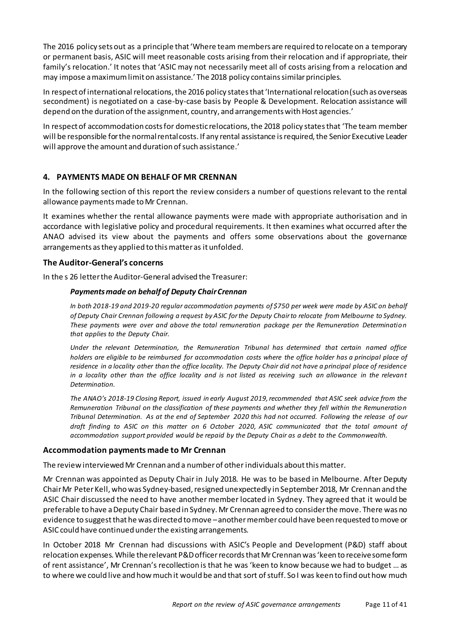The 2016 policy sets out as a principle that 'Where team members are required to relocate on a temporary or permanent basis, ASIC will meet reasonable costs arising from their relocation and if appropriate, their family's relocation.' It notes that 'ASIC may not necessarily meet all of costs arising from a relocation and may impose a maximum limit on assistance.' The 2018 policy contains similar principles.

In respect of international relocations, the 2016 policy states that 'International relocation (such as overseas secondment) is negotiated on a case-by-case basis by People & Development. Relocation assistance will depend on the duration of the assignment, country, and arrangements with Host agencies.'

In respect of accommodation costs for domestic relocations,the 2018 policy states that 'The team member will be responsible for the normal rental costs. If any rental assistance is required, the Senior Executive Leader will approve the amount and duration of such assistance.'

# <span id="page-10-0"></span>**4. PAYMENTS MADE ON BEHALF OF MR CRENNAN**

In the following section of this report the review considers a number of questions relevant to the rental allowance payments made to Mr Crennan.

It examines whether the rental allowance payments were made with appropriate authorisation and in accordance with legislative policy and procedural requirements. It then examines what occurred after the ANAO advised its view about the payments and offers some observations about the governance arrangements as they applied to this matter as it unfolded.

#### <span id="page-10-1"></span>**The Auditor-General's concerns**

In the s 26 letter the Auditor-General advised the Treasurer:

#### *Payments made on behalf of Deputy Chair Crennan*

*In both 2018-19 and 2019-20 regular accommodation payments of \$750 per week were made by ASIC on behalf of Deputy Chair Crennan following a request by ASIC for the Deputy Chair to relocate from Melbourne to Sydney. These payments were over and above the total remuneration package per the Remuneration Determination that applies to the Deputy Chair.*

*Under the relevant Determination, the Remuneration Tribunal has determined that certain named office holders are eligible to be reimbursed for accommodation costs where the office holder has a principal place of residence in a locality other than the office locality. The Deputy Chair did not have a principal place of residence in a locality other than the office locality and is not listed as receiving such an allowance in the relevant Determination.*

*The ANAO's 2018-19 Closing Report, issued in early August 2019, recommended that ASIC seek advice from the Remuneration Tribunal on the classification of these payments and whether they fell within the Remuneration Tribunal Determination. As at the end of September 2020 this had not occurred. Following the release of our draft finding to ASIC on this matter on 6 October 2020, ASIC communicated that the total amount of accommodation support provided would be repaid by the Deputy Chair as a debt to the Commonwealth.* 

#### <span id="page-10-2"></span>**Accommodation payments made to Mr Crennan**

The review interviewed Mr Crennan and a number of other individuals about this matter.

Mr Crennan was appointed as Deputy Chair in July 2018. He was to be based in Melbourne. After Deputy Chair Mr Peter Kell, who was Sydney-based, resigned unexpectedly in September 2018, Mr Crennan and the ASIC Chair discussed the need to have another member located in Sydney. They agreed that it would be preferable to have a Deputy Chair based in Sydney. Mr Crennan agreed to consider the move. There was no evidence to suggest that he was directed to move –another member could have been requested to move or ASIC could have continued under the existing arrangements.

In October 2018 Mr Crennan had discussions with ASIC's People and Development (P&D) staff about relocation expenses. While the relevant P&D officer records that Mr Crennan was 'keen to receive some form of rent assistance', Mr Crennan's recollection is that he was 'keen to know because we had to budget … as to where we could live and how much it would be and that sort of stuff. So I was keen to find out how much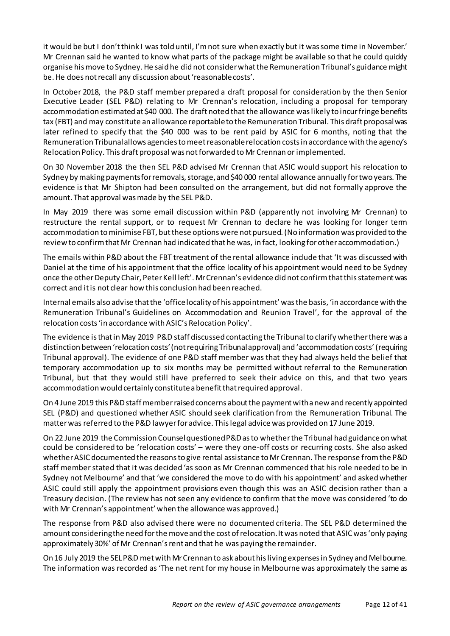it would be but I don't think I was told until, I'm not sure when exactly but it was some time in November.' Mr Crennan said he wanted to know what parts of the package might be available so that he could quickly organise his move to Sydney.He said he did not consider what the Remuneration Tribunal's guidance might be.He does not recall any discussion about 'reasonablecosts'.

In October 2018, the P&D staff member prepared a draft proposal for consideration by the then Senior Executive Leader (SEL P&D) relating to Mr Crennan's relocation, including a proposal for temporary accommodation estimated at \$40 000. The draft noted that the allowance was likely to incur fringe benefits tax (FBT) and may constitute an allowance reportable to the Remuneration Tribunal. This draft proposal was later refined to specify that the \$40 000 was to be rent paid by ASIC for 6 months, noting that the Remuneration Tribunal allows agencies to meet reasonable relocation costs in accordance with the agency's Relocation Policy. This draft proposal was not forwarded to Mr Crennan or implemented.

On 30 November 2018 the then SEL P&D advised Mr Crennan that ASIC would support his relocation to Sydney by making payments for removals, storage, and \$40 000 rental allowance annually for two years. The evidence is that Mr Shipton had been consulted on the arrangement, but did not formally approve the amount. That approval was made by the SEL P&D.

In May 2019 there was some email discussion within P&D (apparently not involving Mr Crennan) to restructure the rental support, or to request Mr Crennan to declare he was looking for longer term accommodation to minimise FBT, but these options were not pursued. (No information was provided to the review to confirm that Mr Crennan had indicated that he was, in fact, looking for other accommodation.)

The emails within P&D about the FBT treatment of the rental allowance include that 'It was discussed with Daniel at the time of his appointment that the office locality of his appointment would need to be Sydney once the other Deputy Chair, Peter Kell left'. Mr Crennan's evidence did not confirm that this statement was correct and it is not clear how this conclusion had been reached.

Internal emails also advise that the 'office locality of his appointment' was the basis, 'in accordance with the Remuneration Tribunal's Guidelines on Accommodation and Reunion Travel', for the approval of the relocation costs'in accordance with ASIC's Relocation Policy'.

The evidence is that in May 2019 P&D staff discussed contacting the Tribunal to clarify whether there was a distinction between 'relocation costs' (not requiring Tribunal approval) and 'accommodation costs' (requiring Tribunal approval). The evidence of one P&D staff member was that they had always held the belief that temporary accommodation up to six months may be permitted without referral to the Remuneration Tribunal, but that they would still have preferred to seek their advice on this, and that two years accommodation would certainly constitute a benefit that required approval.

On 4 June 2019 this P&D staff member raised concerns about the payment with anew and recently appointed SEL (P&D) and questioned whether ASIC should seek clarification from the Remuneration Tribunal. The matter was referred to the P&D lawyer for advice. This legal advice was provided on 17 June 2019.

On 22 June 2019 the Commission Counsel questioned P&D as to whether the Tribunal had guidance on what could be considered to be 'relocation costs' – were they one-off costs or recurring costs. She also asked whether ASIC documented the reasons to give rental assistance to Mr Crennan. The response from the P&D staff member stated that it was decided 'as soon as Mr Crennan commenced that his role needed to be in Sydney not Melbourne' and that 'we considered the move to do with his appointment' and askedwhether ASIC could still apply the appointment provisions even though this was an ASIC decision rather than a Treasury decision. (The review has not seen any evidence to confirm that the move was considered 'to do with Mr Crennan's appointment' when the allowance was approved.)

The response from P&D also advised there were no documented criteria. The SEL P&D determined the amount considering the need for the move and the cost of relocation. It was noted that ASIC was 'only paying approximately 30%' of Mr Crennan's rent and that he was paying the remainder.

On 16 July 2019 the SEL P&D met with Mr Crennan to ask about hisliving expenses in Sydney and Melbourne. The information was recorded as 'The net rent for my house in Melbourne was approximately the same as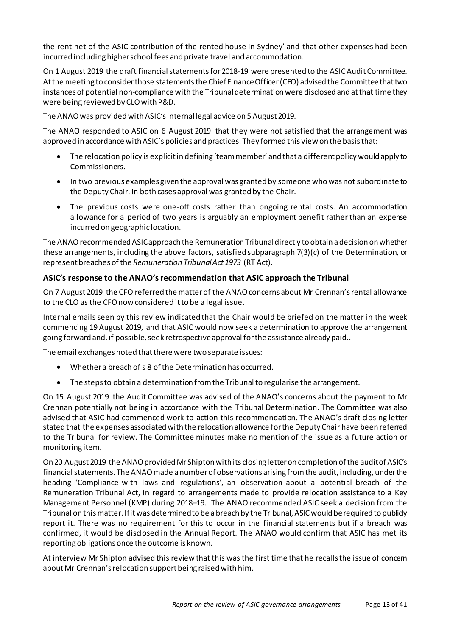the rent net of the ASIC contribution of the rented house in Sydney' and that other expenses had been incurred including higher school fees and private travel and accommodation.

On 1 August 2019 the draft financial statements for 2018-19 were presented to the ASIC Audit Committee. At the meeting to consider those statements the Chief FinanceOfficer (CFO) advised the Committee that two instances of potential non-compliance with the Tribunal determination were disclosed and at that time they were being reviewed by CLOwith P&D.

The ANAO was provided withASIC'sinternal legal advice on 5 August 2019.

The ANAO responded to ASIC on 6 August 2019 that they were not satisfied that the arrangement was approved in accordance with ASIC's policies and practices. They formed this view on the basis that:

- The relocation policy is explicit in defining 'team member' and that a different policy would apply to Commissioners.
- In two previous examples given the approval was granted by someone who was not subordinate to the Deputy Chair. In both cases approval was granted by the Chair.
- The previous costs were one-off costs rather than ongoing rental costs. An accommodation allowance for a period of two years is arguably an employment benefit rather than an expense incurred on geographic location.

The ANAO recommended ASIC approach the Remuneration Tribunal directly to obtain a decision on whether these arrangements, including the above factors, satisfied subparagraph 7(3)(c) of the Determination, or represent breaches of the *Remuneration Tribunal Act 1973* (RT Act).

# <span id="page-12-0"></span>**ASIC's response to the ANAO's recommendation that ASIC approach the Tribunal**

On 7 August 2019 the CFO referred the matter of the ANAO concerns about Mr Crennan's rental allowance to the CLO as the CFOnow considered it to be a legal issue.

Internal emails seen by this review indicated that the Chair would be briefed on the matter in the week commencing 19 August 2019, and that ASIC would now seek a determination to approve the arrangement going forward and, if possible, seek retrospective approval for the assistance already paid..

The email exchanges noted that there were two separate issues:

- Whether a breach of s 8 of the Determination has occurred.
- The steps to obtain a determination from the Tribunal to regularise the arrangement.

On 15 August 2019 the Audit Committee was advised of the ANAO's concerns about the payment to Mr Crennan potentially not being in accordance with the Tribunal Determination. The Committee was also advised that ASIC had commenced work to action this recommendation. The ANAO's draft closing letter stated that the expenses associated with the relocation allowance for the Deputy Chair have been referred to the Tribunal for review. The Committee minutes make no mention of the issue as a future action or monitoring item.

On 20 August 2019 the ANAO provided Mr Shipton with its closing letter on completion of the audit of ASIC's financial statements. The ANAO made a number of observations arising from the audit, including, under the heading 'Compliance with laws and regulations', an observation about a potential breach of the Remuneration Tribunal Act, in regard to arrangements made to provide relocation assistance to a Key Management Personnel (KMP) during 2018–19. The ANAO recommended ASIC seek a decision from the Tribunal on this matter. If it was determined to be a breach by the Tribunal, ASIC would be required to publicly report it. There was no requirement for this to occur in the financial statements but if a breach was confirmed, it would be disclosed in the Annual Report. The ANAO would confirm that ASIC has met its reporting obligations once the outcome is known.

At interview Mr Shipton advised this review that this was the first time that he recalls the issue of concern about Mr Crennan's relocation support being raised with him.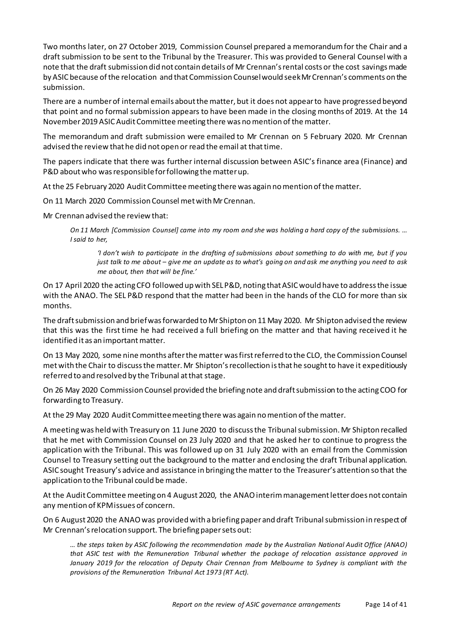Two months later, on 27 October 2019, Commission Counsel prepared a memorandum for the Chair and a draft submission to be sent to the Tribunal by the Treasurer. This was provided to General Counsel with a note that the draft submission did not contain details of Mr Crennan's rental costs or the cost savings made by ASIC because of the relocation and that Commission Counsel would seek Mr Crennan's comments on the submission.

There are a number of internal emails about the matter, but it does not appear to have progressed beyond that point and no formal submission appears to have been made in the closing months of 2019. At the 14 November 2019 ASIC Audit Committee meeting there was no mention of the matter.

The memorandum and draft submission were emailed to Mr Crennan on 5 February 2020. Mr Crennan advised the review that he did not open or read the email at that time.

The papers indicate that there was further internal discussion between ASIC's finance area (Finance) and P&D about who was responsible for following the matter up.

At the 25 February 2020 Audit Committee meeting there was again no mention of the matter.

On 11 March 2020 Commission Counsel met with Mr Crennan.

Mr Crennan advised the review that:

*On 11 March [Commission Counsel] came into my room and she was holding a hard copy of the submissions. … I said to her,* 

*'I don't wish to participate in the drafting of submissions about something to do with me, but if you just talk to me about – give me an update as to what's going on and ask me anything you need to ask me about, then that will be fine.'*

On 17 April 2020 the acting CFO followed up with SEL P&D, noting that ASIC would have to address the issue with the ANAO. The SEL P&D respond that the matter had been in the hands of the CLO for more than six months.

The draft submission and brief was forwarded to Mr Shipton on 11 May 2020. Mr Shipton advised the review that this was the first time he had received a full briefing on the matter and that having received it he identified it as an important matter.

On 13 May 2020, some nine months after the matter was first referred to the CLO, the Commission Counsel met with the Chair to discuss the matter. Mr Shipton's recollection is that he sought to have it expeditiously referred to and resolved by the Tribunal at that stage.

On 26 May 2020 Commission Counsel provided the briefing note and draft submission to the acting COO for forwarding to Treasury.

At the 29 May 2020 Audit Committee meeting there was again no mention of the matter.

A meeting was held with Treasury on 11 June 2020 to discuss the Tribunal submission. Mr Shipton recalled that he met with Commission Counsel on 23 July 2020 and that he asked her to continue to progress the application with the Tribunal. This was followed up on 31 July 2020 with an email from the Commission Counsel to Treasury setting out the background to the matter and enclosing the draft Tribunal application. ASIC sought Treasury's advice and assistance in bringing the matter to the Treasurer's attention so that the application to the Tribunal could be made.

At the Audit Committee meeting on 4 August 2020, the ANAO interim management letter does not contain any mention of KPM issues of concern.

On 6 August 2020 the ANAO was provided with a briefing paper and draft Tribunal submission in respect of Mr Crennan's relocation support. The briefing paper sets out:

*… the steps taken by ASIC following the recommendation made by the Australian National Audit Office (ANAO) that ASIC test with the Remuneration Tribunal whether the package of relocation assistance approved in January 2019 for the relocation of Deputy Chair Crennan from Melbourne to Sydney is compliant with the provisions of the Remuneration Tribunal Act 1973 (RT Act).*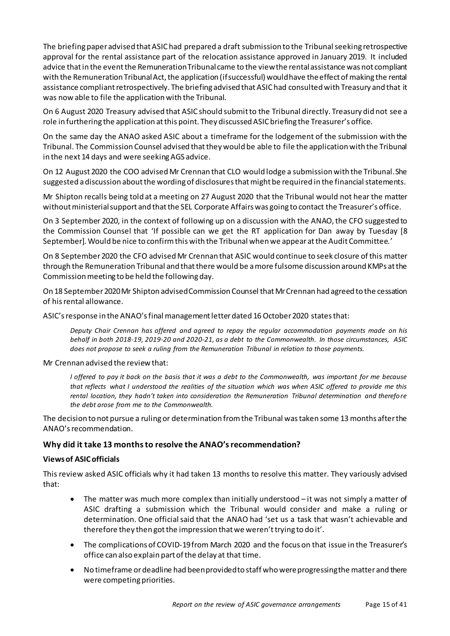The briefing paper advised that ASIC had prepared a draft submission to the Tribunal seeking retrospective approval for the rental assistance part of the relocation assistance approved in January 2019. It included advice that in the event the Remuneration Tribunal came to the view the rental assistance was not compliant with the Remuneration Tribunal Act, the application (if successful) would have the effect of making the rental assistance compliant retrospectively. The briefing advised that ASIC had consulted with Treasury and that it was now able to file the application with the Tribunal.

On 6 August 2020 Treasury advised that ASIC should submit to the Tribunal directly. Treasury did not see a role in furthering the application at this point. They discussed ASIC briefing the Treasurer's office.

On the same day the ANAO asked ASIC about a timeframe for the lodgement of the submission with the Tribunal. The Commission Counsel advised that they would be able to file the application with the Tribunal in the next 14 days and were seekingAGS advice.

On 12 August 2020 the COO advised Mr Crennan that CLO would lodge a submission with the Tribunal. She suggested a discussion about the wording of disclosures that might be required in the financial statements.

Mr Shipton recalls being told at a meeting on 27 August 2020 that the Tribunal would not hear the matter without ministerial support and that the SEL Corporate Affairs was going to contact the Treasurer's office.

On 3 September 2020, in the context of following up on a discussion with the ANAO, the CFO suggested to the Commission Counsel that 'If possible can we get the RT application for Dan away by Tuesday [8 September]. Would be nice to confirm this with the Tribunal when we appear at the Audit Committee*.*'

On 8 September 2020 the CFO advised Mr Crennan that ASIC would continue to seek closure of this matter through the Remuneration Tribunal and that there would be a more fulsome discussion around KMPs at the Commission meeting to be held the following day.

On 18 September 2020 Mr Shipton advised Commission Counsel that Mr Crennan had agreed to the cessation of his rental allowance.

ASIC's response in the ANAO's final management letterdated 16 October 2020 states that:

*Deputy Chair Crennan has offered and agreed to repay the regular accommodation payments made on his behalf in both 2018-19, 2019-20 and 2020-21, as a debt to the Commonwealth. In those circumstances, ASIC does not propose to seek a ruling from the Remuneration Tribunal in relation to those payments.*

# Mr Crennan advised the review that:

*I offered to pay it back on the basis that it was a debt to the Commonwealth, was important for me because that reflects what I understood the realities of the situation which was when ASIC offered to provide me this rental location, they hadn't taken into consideration the Remuneration Tribunal determination and therefore the debt arose from me to the Commonwealth.*

The decision to not pursue a ruling or determination from the Tribunal was taken some 13 months after the ANAO's recommendation.

# <span id="page-14-0"></span>**Why did it take 13 monthsto resolve the ANAO's recommendation?**

# <span id="page-14-1"></span>**Views of ASIC officials**

This review asked ASIC officials why it had taken 13 months to resolve this matter. They variously advised that:

- The matter was much more complex than initially understood  $-$  it was not simply a matter of ASIC drafting a submission which the Tribunal would consider and make a ruling or determination. One official said that the ANAO had 'set us a task that wasn't achievable and therefore they then got the impression that we weren't trying to do it'.
- The complications of COVID-19 from March 2020 and the focus on that issue in the Treasurer's office can also explain part of the delay at that time.
- No timeframe or deadline had been provided to staff who were progressing the matter and there were competing priorities.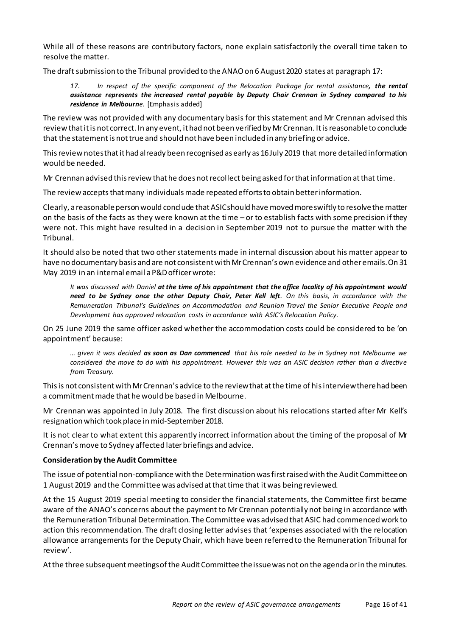While all of these reasons are contributory factors, none explain satisfactorily the overall time taken to resolve the matter.

The draft submission to the Tribunal provided to the ANAO on 6 August 2020 states at paragraph 17:

*17. In respect of the specific component of the Relocation Package for rental assistance, the rental assistance represents the increased rental payable by Deputy Chair Crennan in Sydney compared to his residence in Melbourne*. [Emphasis added]

The review was not provided with any documentary basis for this statement and Mr Crennan advised this review that it is not correct. In any event, it had not been verified by Mr Crennan. It isreasonable to conclude that the statement is not true and should not have been included in any briefing or advice.

This review notes that it had already been recognised as early as 16 July 2019 that more detailed information would be needed.

Mr Crennan advised this review that he does not recollect being asked for that information at that time.

The review accepts that many individuals made repeated efforts to obtain better information.

Clearly, a reasonable person would conclude that ASIC should have movedmore swiftly to resolve the matter on the basis of the facts as they were known at the time – or to establish facts with some precision if they were not. This might have resulted in a decision in September 2019 not to pursue the matter with the Tribunal.

It should also be noted that two other statements made in internal discussion about his matter appear to have no documentary basis and are not consistentwith MrCrennan's own evidence and other emails. On 31 May 2019 in an internal email a P&D officer wrote:

*It was discussed with Daniel at the time of his appointment that the office locality of his appointment would need to be Sydney once the other Deputy Chair, Peter Kell left. On this basis, in accordance with the Remuneration Tribunal's Guidelines on Accommodation and Reunion Travel the Senior Executive People and Development has approved relocation costs in accordance with ASIC's Relocation Policy.*

On 25 June 2019 the same officer asked whether the accommodation costs could be considered to be 'on appointment' because:

*… given it was decided as soon as Dan commenced that his role needed to be in Sydney not Melbourne we considered the move to do with his appointment. However this was an ASIC decision rather than a directive from Treasury.*

This is not consistent with Mr Crennan's advice to the reviewthat at the time of his interviewthere had been a commitment made that he would be based in Melbourne.

Mr Crennan was appointed in July 2018. The first discussion about his relocations started after Mr Kell's resignation which took place in mid-September 2018.

It is not clear to what extent this apparently incorrect information about the timing of the proposal of Mr Crennan's move to Sydney affected later briefings and advice.

#### <span id="page-15-0"></span>**Consideration by the Audit Committee**

The issue of potential non-compliance with the Determination was first raised with the Audit Committee on 1 August 2019 and the Committee was advised at that time that it was being reviewed.

At the 15 August 2019 special meeting to consider the financial statements, the Committee first became aware of the ANAO's concerns about the payment to Mr Crennan potentially not being in accordance with the Remuneration Tribunal Determination. The Committee was advised that ASIC had commenced work to action this recommendation. The draft closing letter advises that 'expenses associated with the relocation allowance arrangements for the Deputy Chair, which have been referred to the Remuneration Tribunal for review'.

At the three subsequent meetings of the Audit Committee the issue was not on the agenda or in the minutes.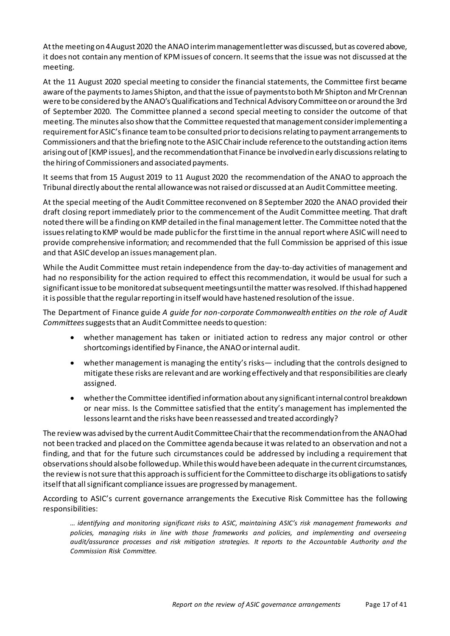At the meeting on 4 August 2020 the ANAO interim management letter was discussed, but as covered above, it does not contain any mention of KPM issues of concern. It seems that the issue was not discussed at the meeting.

At the 11 August 2020 special meeting to consider the financial statements, the Committee first became aware of the payments to James Shipton, and that the issue of payments to both Mr Shipton and Mr Crennan were to be considered by the ANAO's Qualifications and Technical Advisory Committee on or around the 3rd of September 2020. The Committee planned a second special meeting to consider the outcome of that meeting. The minutes also show that the Committee requested that management consider implementing a requirement for ASIC's finance team to be consulted prior to decisions relating to payment arrangements to Commissioners and that the briefing note to the ASIC Chair include reference to the outstanding action items arising out of [KMP issues], and the recommendation that Finance be involved in early discussions relating to the hiring of Commissioners and associated payments.

It seems that from 15 August 2019 to 11 August 2020 the recommendation of the ANAO to approach the Tribunal directly about the rental allowance was not raised or discussed at an Audit Committee meeting.

At the special meeting of the Audit Committee reconvened on 8 September 2020 the ANAO provided their draft closing report immediately prior to the commencement of the Audit Committee meeting. That draft noted there will be a finding on KMP detailed in the final management letter. The Committee noted that the issues relating to KMP would be made public for the first time in the annual report where ASIC will need to provide comprehensive information; and recommended that the full Commission be apprised of this issue and that ASIC develop an issues management plan.

While the Audit Committee must retain independence from the day-to-day activities of management and had no responsibility for the action required to effect this recommendation, it would be usual for such a significant issue to be monitoredat subsequent meetings until the matter was resolved. If this had happened it is possible that the regular reporting in itself would have hastened resolution of the issue.

The Department of Finance guide *A guide for non-corporate Commonwealth entities on the role of Audit Committees*suggests that an Audit Committee needs to question:

- whether management has taken or initiated action to redress any major control or other shortcomings identified by Finance, the ANAO or internal audit.
- whether management is managing the entity's risks— including that the controls designed to mitigate these risks are relevant and are working effectively and that responsibilities are clearly assigned.
- whetherthe Committee identified information about any significant internal control breakdown or near miss. Is the Committee satisfied that the entity's management has implemented the lessons learnt and the risks have been reassessed and treated accordingly?

The review was advised by the current Audit CommitteeChairthat the recommendation fromthe ANAO had not been tracked and placed on the Committee agenda because it was related to an observation and not a finding, and that for the future such circumstances could be addressed by including a requirement that observations should also be followed up. While this would have been adequate in the current circumstances, the review is not sure that this approach is sufficient for the Committee to discharge its obligations to satisfy itself that all significant compliance issues are progressed by management.

According to ASIC's current governance arrangements the Executive Risk Committee has the following responsibilities:

*… identifying and monitoring significant risks to ASIC, maintaining ASIC's risk management frameworks and policies, managing risks in line with those frameworks and policies, and implementing and overseeing audit/assurance processes and risk mitigation strategies. It reports to the Accountable Authority and the Commission Risk Committee.*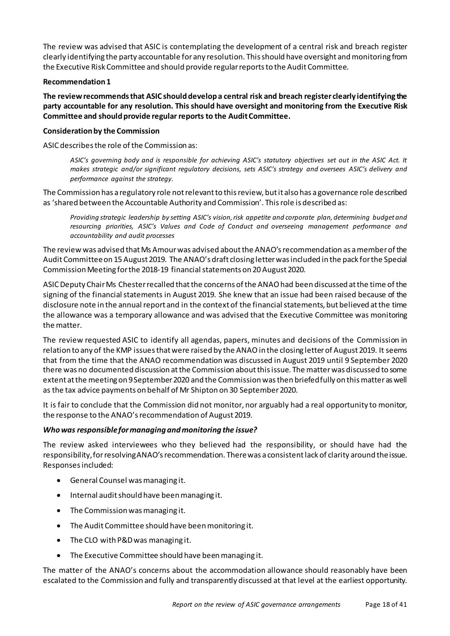The review was advised that ASIC is contemplating the development of a central risk and breach register clearly identifying the party accountable for any resolution. This should have oversight and monitoring from the Executive Risk Committee and should provide regular reportsto the Audit Committee.

#### **Recommendation1**

**The review recommends that ASIC should develop a central risk and breach register clearly identifying the party accountable for any resolution. This should have oversight and monitoring from the Executive Risk Committee and should provide regular reports to the Audit Committee.**

# <span id="page-17-0"></span>**Consideration by the Commission**

ASIC describes the role of the Commission as:

*ASIC's governing body and is responsible for achieving ASIC's statutory objectives set out in the ASIC Act. It makes strategic and/or significant regulatory decisions, sets ASIC's strategy and oversees ASIC's delivery and performance against the strategy.*

The Commission has a regulatory role not relevant to this review, but it also has a governance role described as 'shared between the Accountable Authority and Commission'. This role is described as:

*Providing strategic leadership by setting ASIC's vision, risk appetite and corporate plan, determining budget and resourcing priorities, ASIC's Values and Code of Conduct and overseeing management performance and accountability and audit processes*

The review was advised that Ms Amour was advised about the ANAO's recommendation as a member of the Audit Committee on 15 August 2019. The ANAO's draft closing letter was included in the pack for the Special Commission Meeting for the 2018-19 financial statements on 20 August 2020.

ASIC Deputy Chair Ms Chester recalled that the concerns of the ANAO had been discussed at the time of the signing of the financial statements in August 2019. She knew that an issue had been raised because of the disclosure note in the annual report and in the context of the financial statements, but believed at the time the allowance was a temporary allowance and was advised that the Executive Committee was monitoring the matter.

The review requested ASIC to identify all agendas, papers, minutes and decisions of the Commission in relation to any of the KMP issues that were raised by the ANAO in the closing letter of August 2019. It seems that from the time that the ANAO recommendation was discussed in August 2019 until 9 September 2020 there was no documented discussion at the Commission about this issue. The matter was discussed to some extent at the meeting on 9 September 2020 and the Commission was then briefed fully on this matter as well as the tax advice payments on behalf of Mr Shipton on 30 September 2020.

It is fair to conclude that the Commission did not monitor, nor arguably had a real opportunity to monitor, the response to the ANAO's recommendation of August 2019.

# <span id="page-17-1"></span>*Who was responsible for managing and monitoring the issue?*

The review asked interviewees who they believed had the responsibility, or should have had the responsibility,for resolving ANAO's recommendation. There was a consistent lack of clarity around the issue. Responses included:

- General Counsel was managing it.
- Internal auditshould have been managing it.
- The Commission was managing it.
- The Audit Committee should have been monitoring it.
- The CLO with P&D was managing it.
- The Executive Committee should have been managing it.

The matter of the ANAO's concerns about the accommodation allowance should reasonably have been escalated to the Commission and fully and transparently discussed at that level at the earliest opportunity.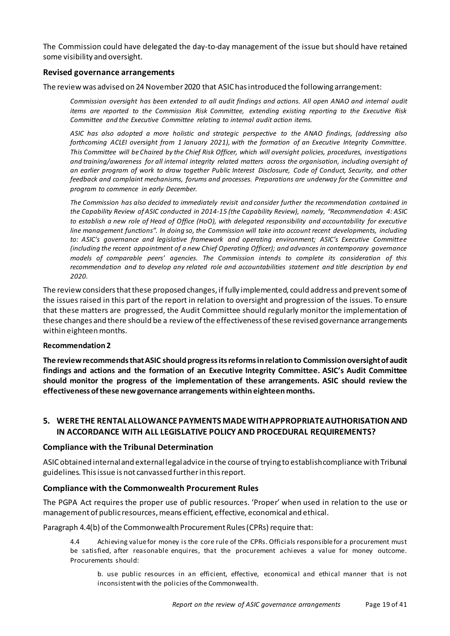The Commission could have delegated the day-to-day management of the issue but should have retained some visibility and oversight.

#### <span id="page-18-0"></span>**Revised governance arrangements**

The review was advised on 24 November 2020 that ASIC has introduced the following arrangement:

*Commission oversight has been extended to all audit findings and actions. All open ANAO and internal audit items are reported to the Commission Risk Committee, extending existing reporting to the Executive Risk Committee and the Executive Committee relating to internal audit action items.*

*ASIC has also adopted a more holistic and strategic perspective to the ANAO findings, (addressing also forthcoming ACLEI oversight from 1 January 2021), with the formation of an Executive Integrity Committee. This Committee will be Chaired by the Chief Risk Officer, which will oversight policies, procedures, investigations and training/awareness for all internal integrity related matters across the organisation, including oversight of an earlier program of work to draw together Public Interest Disclosure, Code of Conduct, Security, and other feedback and complaint mechanisms, forums and processes. Preparations are underway for the Committee and program to commence in early December.*

*The Commission has also decided to immediately revisit and consider further the recommendation contained in the Capability Review of ASIC conducted in 2014-15 (the Capability Review), namely, "Recommendation 4: ASIC to establish a new role of Head of Office (HoO), with delegated responsibility and accountability for executive line management functions". In doing so, the Commission will take into account recent developments, including to: ASIC's governance and legislative framework and operating environment; ASIC's Executive Committee (including the recent appointment of a new Chief Operating Officer); and advances in contemporary governance models of comparable peers' agencies. The Commission intends to complete its consideration of this recommendation and to develop any related role and accountabilities statement and title description by end 2020.*

The review considers that these proposed changes, if fully implemented, could address and prevent some of the issues raised in this part of the report in relation to oversight and progression of the issues. To ensure that these matters are progressed, the Audit Committee should regularly monitor the implementation of these changes and there should be a review of the effectiveness of these revised governance arrangements within eighteen months.

#### **Recommendation2**

**The review recommends thatASIC should progress its reforms in relation to Commission oversight of audit findings and actions and the formation of an Executive Integrity Committee. ASIC's Audit Committee should monitor the progress of the implementation of these arrangements. ASIC should review the effectiveness of these new governance arrangements within eighteen months.**

# <span id="page-18-1"></span>**5. WERE THE RENTAL ALLOWANCE PAYMENTS MADE WITH APPROPRIATE AUTHORISATION AND IN ACCORDANCE WITH ALL LEGISLATIVE POLICY AND PROCEDURAL REQUIREMENTS?**

#### <span id="page-18-2"></span>**Compliance with the Tribunal Determination**

ASIC obtained internal and external legal advice in the course of trying to establish compliance with Tribunal guidelines. This issue is not canvassed further in this report.

#### <span id="page-18-3"></span>**Compliance with the Commonwealth Procurement Rules**

The PGPA Act requires the proper use of public resources. 'Proper' when used in relation to the use or management of public resources, means efficient, effective, economical and ethical.

Paragraph 4.4(b) of the Commonwealth Procurement Rules (CPRs) require that:

4.4 Achieving value for money is the core rule of the CPRs. Officials responsible for a procurement must be satisfied, after reasonable enquires, that the procurement achieves a value for money outcome. Procurements should:

b. use public resources in an efficient, effective, economical and ethical manner that is not inconsistent with the policies of the Commonwealth.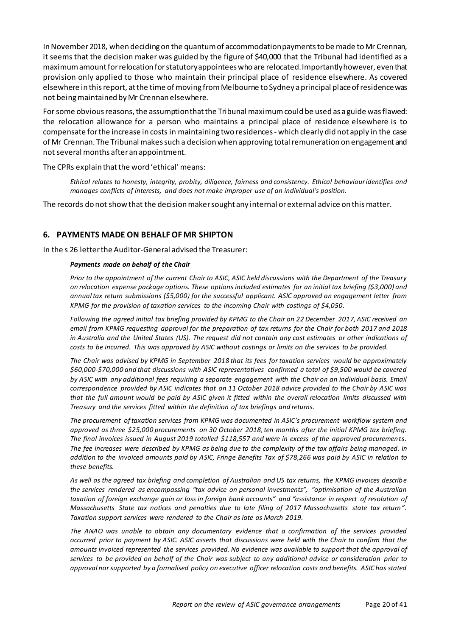In November 2018, when deciding on the quantum of accommodation payments to be made to Mr Crennan, it seems that the decision maker was guided by the figure of \$40,000 that the Tribunal had identified as a maximum amount for relocation for statutory appointees who are relocated. Importantly however, even that provision only applied to those who maintain their principal place of residence elsewhere. As covered elsewhere in this report, at the time of moving from Melbourne to Sydney a principal place of residence was not being maintained by Mr Crennan elsewhere.

For some obvious reasons, the assumptionthat the Tribunal maximum could be used as a guide was flawed: the relocation allowance for a person who maintains a principal place of residence elsewhere is to compensate for the increase in costs in maintaining two residences - which clearly did not apply in the case of Mr Crennan. The Tribunal makes such a decision when approving total remuneration on engagement and not several months after an appointment.

The CPRs explain that the word 'ethical' means:

*Ethical relates to honesty, integrity, probity, diligence, fairness and consistency. Ethical behaviour identifies and manages conflicts of interests, and does not make improper use of an individual's position.* 

The records do not show that the decision maker sought any internal or external advice on this matter.

#### <span id="page-19-0"></span>**6. PAYMENTS MADE ON BEHALF OF MR SHIPTON**

In the s 26 letter the Auditor-General advised the Treasurer:

#### *Payments made on behalf of the Chair*

*Prior to the appointment of the current Chair to ASIC, ASIC held discussions with the Department of the Treasury on relocation expense package options. These options included estimates for an initial tax briefing (\$3,000) and annual tax return submissions (\$5,000) for the successful applicant. ASIC approved an engagement letter from KPMG for the provision of taxation services to the incoming Chair with costings of \$4,050.*

*Following the agreed initial tax briefing provided by KPMG to the Chair on 22 December 2017, ASIC received an email from KPMG requesting approval for the preparation of tax returns for the Chair for both 2017 and 2018 in Australia and the United States (US). The request did not contain any cost estimates or other indications of costs to be incurred. This was approved by ASIC without costings or limits on the services to be provided.*

*The Chair was advised by KPMG in September 2018 that its fees for taxation services would be approximately \$60,000-\$70,000 and that discussions with ASIC representatives confirmed a total of \$9,500 would be covered*  by ASIC with any additional fees requiring a separate engagement with the Chair on an individual basis. Email *correspondence provided by ASIC indicates that on 11 October 2018 advice provided to the Chair by ASIC was that the full amount would be paid by ASIC given it fitted within the overall relocation limits discussed with Treasury and the services fitted within the definition of tax briefings and returns.*

*The procurement of taxation services from KPMG was documented in ASIC's procurement workflow system and approved as three \$25,000 procurements on 30 October 2018, ten months after the initial KPMG tax briefing. The final invoices issued in August 2019 totalled \$118,557 and were in excess of the approved procurements. The fee increases were described by KPMG as being due to the complexity of the tax affairs being managed. In addition to the invoiced amounts paid by ASIC, Fringe Benefits Tax of \$78,266 was paid by ASIC in relation to these benefits.*

*As well as the agreed tax briefing and completion of Australian and US tax returns, the KPMG invoices describe the services rendered as encompassing "tax advice on personal investments", "optimisation of the Australian taxation of foreign exchange gain or loss in foreign bank accounts" and "assistance in respect of resolution of Massachusetts State tax notices and penalties due to late filing of 2017 Massachusetts state tax return". Taxation support services were rendered to the Chair as late as March 2019.*

*The ANAO was unable to obtain any documentary evidence that a confirmation of the services provided occurred prior to payment by ASIC. ASIC asserts that discussions were held with the Chair to confirm that the amounts invoiced represented the services provided. No evidence was available to support that the approval of services to be provided on behalf of the Chair was subject to any additional advice or consideration prior to approval nor supported by a formalised policy on executive officer relocation costs and benefits. ASIC has stated*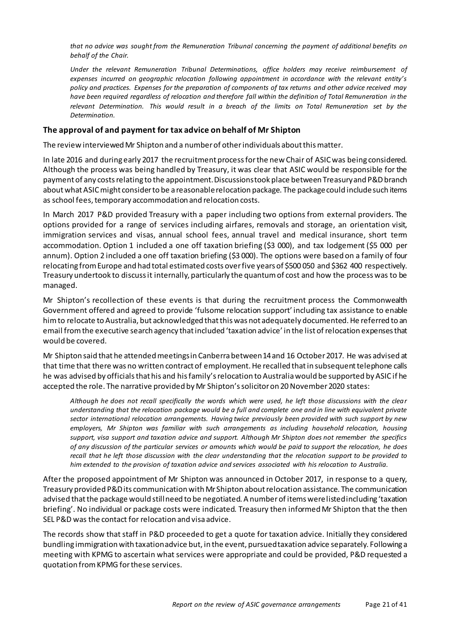*that no advice was sought from the Remuneration Tribunal concerning the payment of additional benefits on behalf of the Chair.*

*Under the relevant Remuneration Tribunal Determinations, office holders may receive reimbursement of expenses incurred on geographic relocation following appointment in accordance with the relevant entity's policy and practices. Expenses for the preparation of components of tax returns and other advice received may have been required regardless of relocation and therefore fall within the definition of Total Remuneration in the relevant Determination. This would result in a breach of the limits on Total Remuneration set by the Determination.*

#### <span id="page-20-0"></span>**The approval of and payment for tax advice on behalf of Mr Shipton**

The review interviewed Mr Shipton and a number of other individuals about this matter.

In late 2016 and during early 2017 the recruitment process for the new Chair of ASIC was being considered. Although the process was being handled by Treasury, it was clear that ASIC would be responsible for the payment of any costs relating to the appointment. Discussions took place between Treasury and P&Dbranch about what ASIC might consider to be a reasonable relocation package. The package could include such items as school fees, temporary accommodation and relocation costs.

In March 2017 P&D provided Treasury with a paper including two options from external providers. The options provided for a range of services including airfares, removals and storage, an orientation visit, immigration services and visas, annual school fees, annual travel and medical insurance, short term accommodation. Option 1 included a one off taxation briefing (\$3 000), and tax lodgement (\$5 000 per annum). Option 2 included a one off taxation briefing (\$3 000). The options were based on a family of four relocating from Europe and had total estimated costs over five years of \$500 050 and \$362 400 respectively. Treasury undertook to discuss it internally, particularly the quantum of cost and how the process was to be managed.

Mr Shipton's recollection of these events is that during the recruitment process the Commonwealth Government offered and agreed to provide 'fulsome relocation support' including tax assistance to enable him to relocate to Australia, but acknowledged that thiswas not adequately documented. He referred to an email from the executive search agency thatincluded 'taxation advice' in the list of relocation expenses that would be covered.

Mr Shipton said that he attended meetings in Canberra between14 and 16 October 2017. He was advised at that time that there was no written contract of employment.He recalled that in subsequent telephone calls he was advised by officials that his and his family's relocation to Australia would be supported by ASIC if he accepted the role. The narrative provided by Mr Shipton'ssolicitor on 20 November 2020 states:

*Although he does not recall specifically the words which were used, he left those discussions with the clear understanding that the relocation package would be a full and complete one and in line with equivalent private sector international relocation arrangements. Having twice previously been provided with such support by new employers, Mr Shipton was familiar with such arrangements as including household relocation, housing support, visa support and taxation advice and support. Although Mr Shipton does not remember the specifics of any discussion of the particular services or amounts which would be paid to support the relocation, he does recall that he left those discussion with the clear understanding that the relocation support to be provided to him extended to the provision of taxation advice and services associated with his relocation to Australia.*

After the proposed appointment of Mr Shipton was announced in October 2017, in response to a query, Treasury provided P&D its communication with Mr Shipton about relocation assistance. The communication advised that the package would still need to be negotiated. A number of items were listed including 'taxation briefing'. No individual or package costs were indicated. Treasury then informed Mr Shipton that the then SEL P&D was the contact for relocation and visa advice.

The records show that staff in P&D proceeded to get a quote for taxation advice. Initially they considered bundling immigration with taxation advice but, in the event, pursuedtaxation advice separately. Following a meeting with KPMG to ascertain what services were appropriate and could be provided, P&D requested a quotation from KPMG for these services.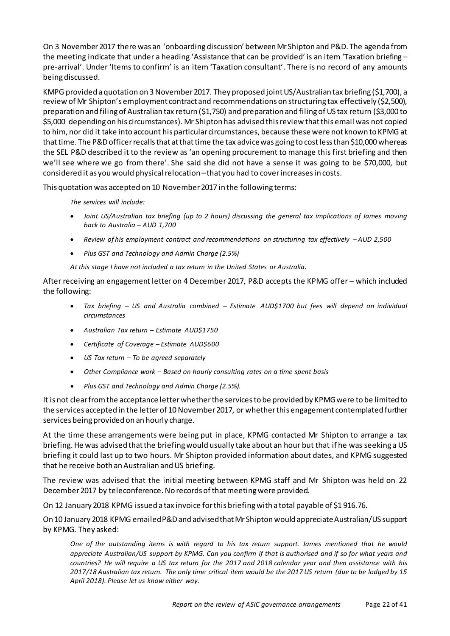On 3 November 2017 there was an 'onboardingdiscussion' between Mr Shipton and P&D. The agenda from the meeting indicate that under a heading 'Assistance that can be provided' is an item 'Taxation briefing – pre-arrival'. Under 'Items to confirm' is an item 'Taxation consultant'. There is no record of any amounts being discussed.

KMPG provided a quotation on 3 November 2017. They proposed joint US/Australian tax briefing (\$1,700), a review of Mr Shipton's employment contract and recommendations on structuring tax effectively (\$2,500), preparation and filingof Australian tax return (\$1,750) and preparation and filing of US tax return (\$3,000 to \$5,000 depending on his circumstances). Mr Shipton has advised this review that this email was not copied to him, nor did it take into account his particular circumstances, because these were not known to KPMG at that time. The P&D officer recalls that at that time the tax advice was going to cost less than \$10,000 whereas the SEL P&D described it to the review as 'an opening procurement to manage this first briefing and then we'll see where we go from there'. She said she did not have a sense it was going to be \$70,000, but considered it as youwould physical relocation –that you had to cover increases in costs.

This quotation was accepted on 10 November 2017 in the following terms:

*The services will include:*

- *Joint US/Australian tax briefing (up to 2 hours) discussing the general tax implications of James moving back to Australia – AUD 1,700*
- *Review of his employment contract and recommendations on structuring tax effectively – AUD 2,500*
- *Plus GST and Technology and Admin Charge (2.5%)*

*At this stage I have not included a tax return in the United States or Australia.*

After receiving an engagement letter on 4 December 2017, P&D accepts the KPMG offer – which included the following:

- *Tax briefing – US and Australia combined – Estimate AUD\$1700 but fees will depend on individual circumstances*
- *Australian Tax return – Estimate AUD\$1750*
- *Certificate of Coverage – Estimate AUD\$600*
- *US Tax return – To be agreed separately*
- *Other Compliance work – Based on hourly consulting rates on a time spent basis*
- *Plus GST and Technology and Admin Charge (2.5%).*

It is not clear fromthe acceptance letter whether the services to be provided by KPMG were to be limited to the services accepted in the letter of 10 November2017, or whether this engagement contemplated further services being provided on an hourly charge.

At the time these arrangements were being put in place, KPMG contacted Mr Shipton to arrange a tax briefing. He was advised that the briefing would usually take about an hour but that if he was seeking a US briefing it could last up to two hours. Mr Shipton provided information about dates, and KPMG suggested that he receive both an Australian and US briefing.

The review was advised that the initial meeting between KPMG staff and Mr Shipton was held on 22 December 2017 by teleconference. No records of that meeting were provided.

On 12 January 2018 KPMG issued a tax invoice forthis briefing with a total payable of \$1 916.76.

On 10 January 2018 KPMG emailed P&D and advised that Mr Shipton would appreciate Australian/US support by KPMG. They asked:

*One of the outstanding items is with regard to his tax return support. James mentioned that he would appreciate Australian/US support by KPMG. Can you confirm if that is authorised and if so for what years and countries? He will require a US tax return for the 2017 and 2018 calendar year and then assistance with his 2017/18 Australian tax return. The only time critical item would be the 2017 US return (due to be lodged by 15 April 2018). Please let us know either way.*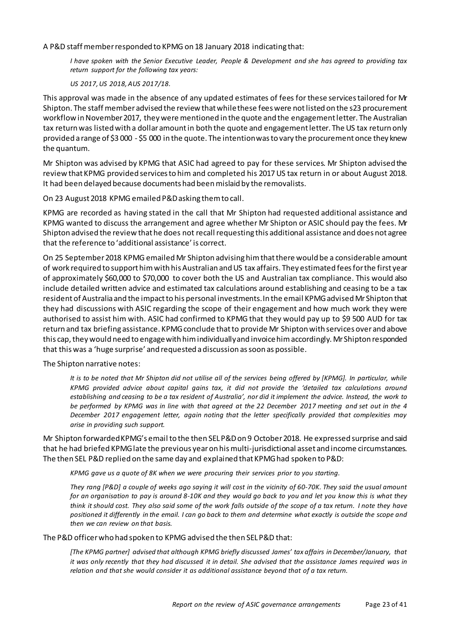A P&D staff member responded to KPMG on 18 January 2018 indicating that:

*I have spoken with the Senior Executive Leader, People & Development and she has agreed to providing tax return support for the following tax years:*

*US 2017, US 2018, AUS 2017/18.*

This approval was made in the absence of any updated estimates of fees for these services tailored for Mr Shipton. The staff member advised the review that while these fees were not listed on the s23 procurement workflow in November 2017, they were mentioned in the quote and the engagement letter. The Australian tax return was listed with a dollar amount in both the quote and engagement letter. The US tax return only provided a range of \$3 000 - \$5 000 in the quote. The intention was to vary the procurement once they knew the quantum.

Mr Shipton was advised by KPMG that ASIC had agreed to pay for these services. Mr Shipton advised the review that KPMG provided services to him and completed his 2017 US tax return in or about August 2018. It had been delayed because documents had been mislaid by the removalists.

On 23 August 2018 KPMG emailed P&D asking them to call.

KPMG are recorded as having stated in the call that Mr Shipton had requested additional assistance and KPMG wanted to discuss the arrangement and agree whether Mr Shipton or ASIC should pay the fees. Mr Shipton advised the review that he does not recall requesting this additional assistance and does not agree that the reference to 'additional assistance' is correct.

On 25 September 2018 KPMG emailed Mr Shipton advisinghim that there would be a considerable amount of work required to support him with his Australian and US tax affairs. They estimated fees for the first year of approximately \$60,000 to \$70,000 to cover both the US and Australian tax compliance. This would also include detailed written advice and estimated tax calculations around establishing and ceasing to be a tax resident of Australia and the impact to his personal investments.In the email KPMG advised Mr Shipton that they had discussions with ASIC regarding the scope of their engagement and how much work they were authorised to assist him with. ASIC had confirmed to KPMG that they would pay up to \$9 500 AUD for tax return and tax briefing assistance. KPMG conclude that to provide Mr Shipton with services over and above this cap, they would need to engage with himindividually and invoice himaccordingly. Mr Shipton responded that this was a 'huge surprise' and requested a discussion as soon as possible.

The Shipton narrative notes:

It is to be noted that Mr Shipton did not utilise all of the services being offered by [KPMG]. In particular, while *KPMG provided advice about capital gains tax, it did not provide the 'detailed tax calculations around establishing and ceasing to be a tax resident of Australia', nor did it implement the advice. Instead, the work to be performed by KPMG was in line with that agreed at the 22 December 2017 meeting and set out in the 4 December 2017 engagement letter, again noting that the letter specifically provided that complexities may arise in providing such support.*

Mr Shipton forwarded KPMG's email to the then SEL P&Don 9 October 2018. He expressed surprise and said that he had briefed KPMGlate the previous yearon hismulti-jurisdictional asset and income circumstances. The then SEL P&D replied on the same day and explained that KPMG had spoken to P&D:

*KPMG gave us a quote of 8K when we were procuring their services prior to you starting.*

*They rang [P&D] a couple of weeks ago saying it will cost in the vicinity of 60-70K. They said the usual amount for an organisation to pay is around 8-10K and they would go back to you and let you know this is what they think it should cost. They also said some of the work falls outside of the scope of a tax return. I note they have positioned it differently in the email. I can go back to them and determine what exactly is outside the scope and then we can review on that basis.*

The P&D officer who had spoken to KPMG advised the then SEL P&D that:

*[The KPMG partner] advised that although KPMG briefly discussed James' tax affairs in December/January, that it was only recently that they had discussed it in detail. She advised that the assistance James required was in relation and that she would consider it as additional assistance beyond that of a tax return.*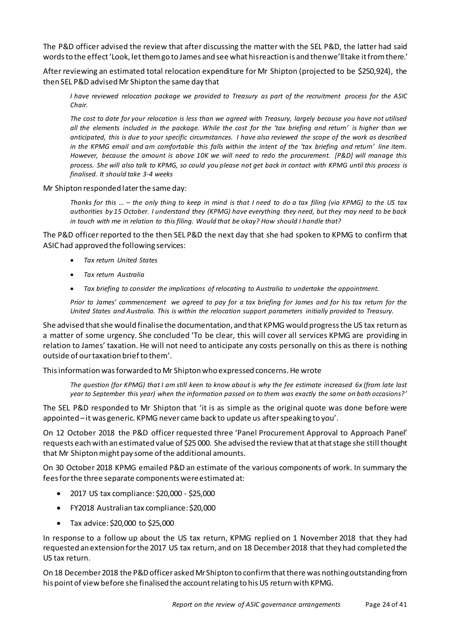The P&D officer advised the review that after discussing the matter with the SEL P&D, the latter had said words to the effect 'Look, let them go to James and see what his reaction is and then we'll take it from there.'

After reviewing an estimated total relocation expenditure for Mr Shipton (projected to be \$250,924), the then SEL P&D advised Mr Shipton the same day that

*I have reviewed relocation package we provided to Treasury as part of the recruitment process for the ASIC Chair.*

*The cost to date for your relocation is less than we agreed with Treasury, largely because you have not utilised all the elements included in the package. While the cost for the 'tax briefing and return' is higher than we anticipated, this is due to your specific circumstances. I have also reviewed the scope of the work as described in the KPMG email and am comfortable this falls within the intent of the 'tax briefing and return' line item. However, because the amount is above 10K we will need to redo the procurement. [P&D] will manage this process. She will also talk to KPMG, so could you please not get back in contact with KPMG until this process is finalised. It should take 3-4 weeks*

Mr Shipton responded later the same day:

*Thanks for this … – the only thing to keep in mind is that I need to do a tax filing (via KPMG) to the US tax authorities by 15 October. I understand they (KPMG) have everything they need, but they may need to be back in touch with me in relation to this filing. Would that be okay? How should I handle that?*

The P&D officer reported to the then SEL P&D the next day that she had spoken to KPMG to confirm that ASIC had approved the following services:

- *Tax return United States*
- *Tax return Australia*
- *Tax briefing to consider the implications of relocating to Australia to undertake the appointment.*

*Prior to James' commencement we agreed to pay for a tax briefing for James and for his tax return for the United States and Australia. This is within the relocation support parameters initially provided to Treasury.*

She advised thatshe would finalisethe documentation, and that KPMG would progress the US tax return as a matter of some urgency. She concluded 'To be clear, this will cover all services KPMG are providing in relation to James' taxation. He will not need to anticipate any costs personally on this as there is nothing outside of our taxation brief to them'.

This information was forwarded to Mr Shipton who expressed concerns. He wrote

*The question (for KPMG) that I am still keen to know about is why the fee estimate increased 6x (from late last year to September this year) when the information passed on to them was exactly the same on both occasions?'* 

The SEL P&D responded to Mr Shipton that 'it is as simple as the original quote was done before were appointed –it was generic. KPMG never came back to update us after speaking to you'.

On 12 October 2018 the P&D officer requested three 'Panel Procurement Approval to Approach Panel' requests each with an estimated value of \$25 000. She advised the review that at that stage she still thought that Mr Shipton might pay some of the additional amounts.

On 30 October 2018 KPMG emailed P&D an estimate of the various components of work. In summary the fees for the three separate components were estimated at:

- 2017 US tax compliance: \$20,000 \$25,000
- FY2018 Australian tax compliance: \$20,000
- Tax advice: \$20,000 to \$25,000

In response to a follow up about the US tax return, KPMG replied on 1 November 2018 that they had requested an extension for the 2017 US tax return, and on 18 December 2018 that they had completed the US tax return.

On 18 December 2018 the P&D officer asked Mr Shipton to confirm that there was nothing outstanding from his point of view before she finalised the account relating to his US return with KPMG.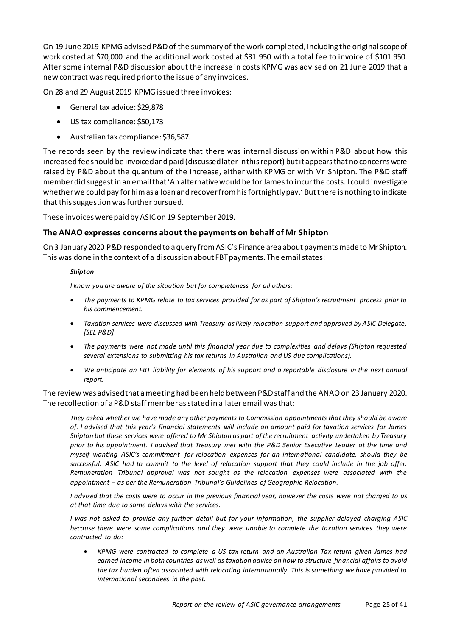On 19 June 2019 KPMG advised P&D of the summary of the work completed, including the original scope of work costed at \$70,000 and the additional work costed at \$31 950 with a total fee to invoice of \$101 950. After some internal P&D discussion about the increase in costs KPMG was advised on 21 June 2019 that a new contract was required prior to the issue of any invoices.

On 28 and 29 August 2019 KPMG issued three invoices:

- General tax advice: \$29,878
- US tax compliance: \$50,173
- Australian tax compliance: \$36,587.

The records seen by the review indicate that there was internal discussion within P&D about how this increased fee should be invoiced and paid (discussed later inthis report) but it appears that no concerns were raised by P&D about the quantum of the increase, either with KPMG or with Mr Shipton. The P&D staff member did suggest in an email that 'An alternative would be for James to incur the costs. I could investigate whether we could pay for him as a loan and recover from his fortnightly pay.' But there is nothing to indicate that this suggestion was further pursued.

These invoiceswere paid by ASIC on 19 September 2019.

#### <span id="page-24-0"></span>**The ANAO expresses concerns about the payments on behalf of Mr Shipton**

On 3 January 2020 P&D responded to a query from ASIC's Finance area about paymentsmade to Mr Shipton. This was done in the context of a discussion about FBT payments. The email states:

#### *Shipton*

*I know you are aware of the situation but for completeness for all others:*

- *The payments to KPMG relate to tax services provided for as part of Shipton's recruitment process prior to his commencement.*
- *Taxation services were discussed with Treasury as likely relocation support and approved by ASIC Delegate, [SEL P&D]*
- *The payments were not made until this financial year due to complexities and delays (Shipton requested several extensions to submitting his tax returns in Australian and US due complications).*
- *We anticipate an FBT liability for elements of his support and a reportable disclosure in the next annual report.*

#### The review was advised that a meetinghad been held between P&D staff and the ANAO on 23 January 2020. The recollection of a P&D staff member as stated in a later email was that:

*They asked whether we have made any other payments to Commission appointments that they should be aware of. I advised that this year's financial statements will include an amount paid for taxation services for James Shipton but these services were offered to Mr Shipton as part of the recruitment activity undertaken by Treasury prior to his appointment. I advised that Treasury met with the P&D Senior Executive Leader at the time and myself wanting ASIC's commitment for relocation expenses for an international candidate, should they be successful. ASIC had to commit to the level of relocation support that they could include in the job offer. Remuneration Tribunal approval was not sought as the relocation expenses were associated with the appointment – as per the Remuneration Tribunal's Guidelines of Geographic Relocation.*

*I advised that the costs were to occur in the previous financial year, however the costs were not charged to us at that time due to some delays with the services.*

*I was not asked to provide any further detail but for your information, the supplier delayed charging ASIC because there were some complications and they were unable to complete the taxation services they were contracted to do:*

• *KPMG were contracted to complete a US tax return and an Australian Tax return given James had earned income in both countries as well as taxation advice on how to structure financial affairs to avoid the tax burden often associated with relocating internationally. This is something we have provided to international secondees in the past.*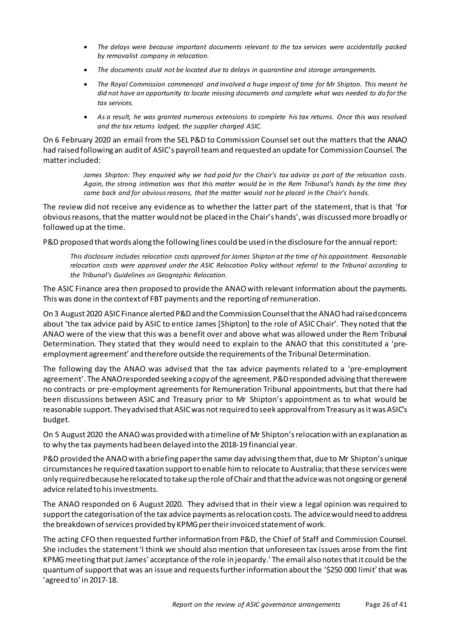- *The delays were because important documents relevant to the tax services were accidentally packed by removalist company in relocation.*
- *The documents could not be located due to delays in quarantine and storage arrangements.*
- *The Royal Commission commenced and involved a huge impost of time for Mr Shipton. This meant he did not have an opportunity to locate missing documents and complete what was needed to do for the tax services.*
- *As a result, he was granted numerous extensions to complete his tax returns. Once this was resolved and the tax returns lodged, the supplier charged ASIC.*

On 6 February 2020 an email from the SEL P&D to Commission Counselset out the matters that the ANAO had raised following an audit of ASIC's payroll team and requested an update for Commission Counsel. The matter included:

> *James Shipton: They enquired why we had paid for the Chair's tax advice as part of the relocation costs. Again, the strong intimation was that this matter would be in the Rem Tribunal's hands by the time they came back and for obvious reasons, that the matter would not be placed in the Chair's hands.*

The review did not receive any evidence as to whether the latter part of the statement, that is that 'for obvious reasons, that the matter would not be placed in the Chair's hands', was discussed more broadly or followed up at the time.

P&D proposed that words along the following lines could be used in the disclosure for the annual report:

*This disclosure includes relocation costs approved for James Shipton at the time of his appointment. Reasonable relocation costs were approved under the ASIC Relocation Policy without referral to the Tribunal according to the Tribunal's Guidelines on Geographic Relocation.*

The ASIC Finance area then proposed to provide the ANAO with relevant information about the payments. This was done in the context of FBT payments and the reportingof remuneration.

On 3 August 2020 ASIC Finance alerted P&D and the Commission Counsel that the ANAO had raised concerns about 'the tax advice paid by ASIC to entice James [Shipton] to the role of ASIC Chair'. They noted that the ANAO were of the view that this was a benefit over and above what was allowed under the Rem Tribunal Determination. They stated that they would need to explain to the ANAO that this constituted a 'preemployment agreement' and therefore outside the requirements of the Tribunal Determination.

The following day the ANAO was advised that the tax advice payments related to a 'pre-employment agreement'. The ANAO responded seeking a copy of the agreement. P&D responded advising that there were no contracts or pre-employment agreements for Remuneration Tribunal appointments, but that there had been discussions between ASIC and Treasury prior to Mr Shipton's appointment as to what would be reasonable support. They advised that ASIC was not required to seek approval from Treasury as it was ASIC's budget.

On 5 August 2020 the ANAO was provided with a timeline of Mr Shipton's relocation with an explanation as to why the tax payments had been delayed into the 2018-19 financial year.

P&D provided the ANAO with a briefing paper the same day advising them that, due to Mr Shipton's unique circumstances he required taxation support to enable him to relocate to Australia; that these services were only required because he relocated to take up the role of Chair and that the advice was not ongoing or general advice related to his investments.

The ANAO responded on 6 August 2020. They advised that in their view a legal opinion was required to support the categorisation of the tax advice payments as relocation costs. The advicewould need to address the breakdown of services provided by KPMG per their invoiced statement of work.

The acting CFO then requested further information from P&D, the Chief of Staff and Commission Counsel. She includes the statement 'I think we should also mention that unforeseen tax issues arose from the first KPMG meeting that put James' acceptance of the role in jeopardy.' The email also notes that it could be the quantum of support that was an issue and requestsfurther information about the '\$250 000 limit' that was 'agreed to' in 2017-18.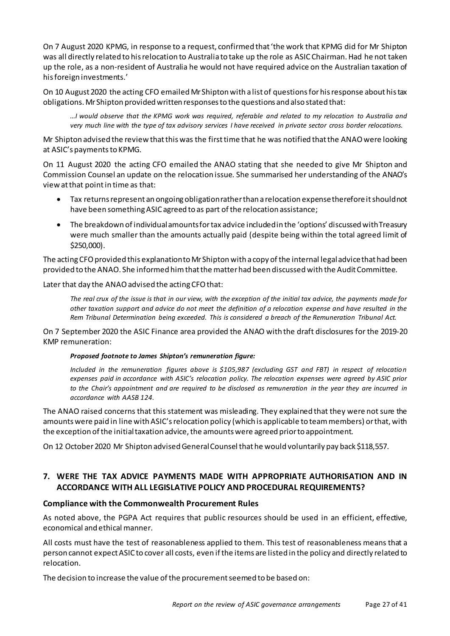On 7 August 2020 KPMG, in response to a request, confirmed that 'the work that KPMG did for Mr Shipton was all directly related to his relocation to Australia to take up the role as ASIC Chairman. Had he not taken up the role, as a non-resident of Australia he would not have required advice on the Australian taxation of his foreign investments.'

On 10 August 2020 the acting CFO emailed Mr Shipton with a list of questions for his response about his tax obligations. Mr Shipton providedwritten responsesto the questions and also stated that:

*…I would observe that the KPMG work was required, referable and related to my relocation to Australia and very much line with the type of tax advisory services I have received in private sector cross border relocations.*

Mr Shipton advised the review that this was the first time that he was notified that the ANAO were looking at ASIC's payments to KPMG.

On 11 August 2020 the acting CFO emailed the ANAO stating that she needed to give Mr Shipton and Commission Counsel an update on the relocation issue. She summarised her understanding of the ANAO's view at that point in time as that:

- Tax returns represent an ongoing obligation rather than a relocation expense therefore it should not have been something ASIC agreed to as part of the relocation assistance;
- The breakdown of individual amounts for tax advice included in the 'options' discussed with Treasury were much smaller than the amounts actually paid (despite being within the total agreed limit of \$250,000).

The acting CFO provided this explanationto Mr Shipton with a copy of the internal legal advice that had been provided to the ANAO. She informed him that the matter had been discussed with the Audit Committee.

Later that day the ANAO advised the acting CFO that:

*The real crux of the issue is that in our view, with the exception of the initial tax advice, the payments made for other taxation support and advice do not meet the definition of a relocation expense and have resulted in the Rem Tribunal Determination being exceeded. This is considered a breach of the Remuneration Tribunal Act.*

On 7 September 2020 the ASIC Finance area provided the ANAO with the draft disclosures for the 2019-20 KMP remuneration:

#### *Proposed footnote to James Shipton's remuneration figure:*

*Included in the remuneration figures above is \$105,987 (excluding GST and FBT) in respect of relocation expenses paid in accordance with ASIC's relocation policy. The relocation expenses were agreed by ASIC prior to the Chair's appointment and are required to be disclosed as remuneration in the year they are incurred in accordance with AASB 124.*

The ANAO raised concerns that this statement was misleading. They explained that they were not sure the amounts were paid in line with ASIC's relocation policy (which is applicable to team members) or that, with the exception of the initial taxation advice, the amounts were agreed prior to appointment.

On 12 October 2020 Mr Shipton advised General Counsel that he would voluntarily pay back \$118,557.

# <span id="page-26-0"></span>**7. WERE THE TAX ADVICE PAYMENTS MADE WITH APPROPRIATE AUTHORISATION AND IN ACCORDANCE WITH ALL LEGISLATIVE POLICY AND PROCEDURAL REQUIREMENTS?**

# <span id="page-26-1"></span>**Compliance with the Commonwealth Procurement Rules**

As noted above, the PGPA Act requires that public resources should be used in an efficient, effective, economical and ethical manner.

All costs must have the test of reasonableness applied to them. This test of reasonableness means that a person cannot expect ASIC to cover all costs, even if the items are listed in the policy and directly related to relocation.

The decision to increase the value of the procurement seemed to be based on: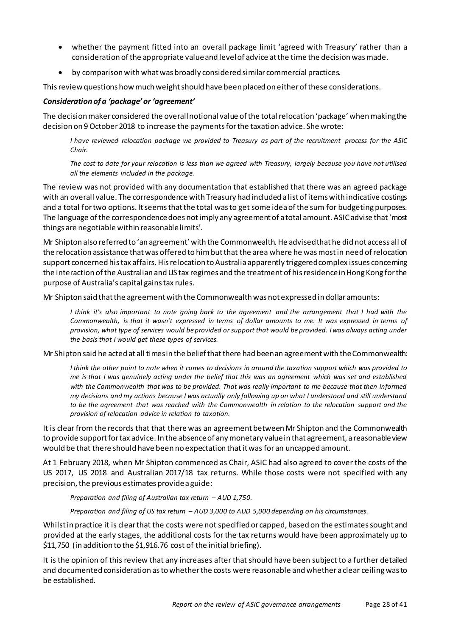- whether the payment fitted into an overall package limit 'agreed with Treasury' rather than a consideration of the appropriate value and level of advice at the time the decision was made.
- by comparison with what was broadly considered similar commercial practices.

This review questions how much weight should have been placed on either of these considerations.

#### <span id="page-27-0"></span>*Consideration of a 'package' or 'agreement'*

The decisionmaker considered the overall notional value of the total relocation 'package' when making the decision on 9 October 2018 to increase the payments for the taxation advice. She wrote:

*I have reviewed relocation package we provided to Treasury as part of the recruitment process for the ASIC Chair.*

*The cost to date for your relocation is less than we agreed with Treasury, largely because you have not utilised all the elements included in the package.*

The review was not provided with any documentation that established that there was an agreed package with an overall value. The correspondence with Treasury had included a list of items with indicative costings and a total for two options. It seems that the total was to get some idea of the sum for budgeting purposes. The language of the correspondence does not imply any agreement of a total amount. ASIC advise that'most things are negotiable within reasonable limits'.

Mr Shipton also referred to 'an agreement' with the Commonwealth. He advised that he did not access all of the relocation assistance that was offered to him but that the area where he was most in need of relocation support concerned his tax affairs. His relocation to Australia apparently triggered complex issues concerning the interaction of the Australian and US tax regimes and the treatment of his residence in Hong Kong for the purpose of Australia's capital gains tax rules.

Mr Shipton said that the agreement with the Commonwealth was not expressed in dollar amounts:

*I think it's also important to note going back to the agreement and the arrangement that I had with the Commonwealth, is that it wasn't expressed in terms of dollar amounts to me. It was expressed in terms of provision, what type of services would be provided or support that would be provided. I was always acting under the basis that I would get these types of services.* 

Mr Shipton said he acted at all times in the belief that there had been an agreement with the Commonwealth:

*I think the other point to note when it comes to decisions in around the taxation support which was provided to me is that I was genuinely acting under the belief that this was an agreement which was set and established*  with the Commonwealth that was to be provided. That was really important to me because that then informed *my decisions and my actions because I was actually only following up on what I understood and still understand to be the agreement that was reached with the Commonwealth in relation to the relocation support and the provision of relocation advice in relation to taxation.*

It is clear from the records that that there was an agreement between Mr Shipton and the Commonwealth to provide support for tax advice. In the absence of any monetary value in that agreement, a reasonable view would be that there should have been no expectation that it was for an uncapped amount.

At 1 February 2018, when Mr Shipton commenced as Chair, ASIC had also agreed to cover the costs of the US 2017, US 2018 and Australian 2017/18 tax returns. While those costs were not specified with any precision, the previous estimates provide a guide:

*Preparation and filing of Australian tax return – AUD 1,750.*

*Preparation and filing of US tax return – AUD 3,000 to AUD 5,000 depending on his circumstances.*

Whilst in practice it is clear that the costs were not specified or capped, based on the estimates sought and provided at the early stages, the additional costs for the tax returns would have been approximately up to \$11,750 (in addition to the \$1,916.76 cost of the initial briefing).

It is the opinion of this review that any increases after that should have been subject to a further detailed and documented consideration as to whether the costs were reasonable and whether a clear ceiling was to be established.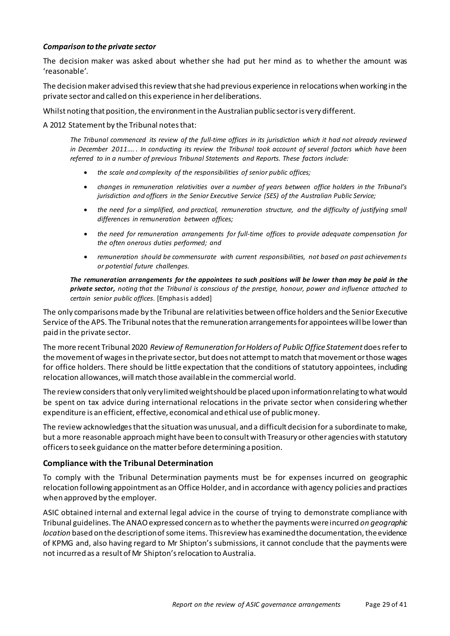#### <span id="page-28-0"></span>*Comparison to the private sector*

The decision maker was asked about whether she had put her mind as to whether the amount was 'reasonable'.

The decision makeradvised this review that she had previous experience in relocations when working in the private sectorand called on this experience in her deliberations.

Whilst noting that position, the environment in the Australian public sector is very different.

A 2012 Statement by the Tribunal notes that:

*The Tribunal commenced its review of the full-time offices in its jurisdiction which it had not already reviewed in December 2011…. . In conducting its review the Tribunal took account of several factors which have been referred to in a number of previous Tribunal Statements and Reports. These factors include:*

- *the scale and complexity of the responsibilities of senior public offices;*
- *changes in remuneration relativities over a number of years between office holders in the Tribunal's jurisdiction and officers in the Senior Executive Service (SES) of the Australian Public Service;*
- *the need for a simplified, and practical, remuneration structure, and the difficulty of justifying small differences in remuneration between offices;*
- *the need for remuneration arrangements for full-time offices to provide adequate compensation for the often onerous duties performed; and*
- *remuneration should be commensurate with current responsibilities, not based on past achievements or potential future challenges.*

*The remuneration arrangements for the appointees to such positions will be lower than may be paid in the private sector, noting that the Tribunal is conscious of the prestige, honour, power and influence attached to certain senior public offices*. [Emphasis added]

The only comparisons made by the Tribunal are relativities between office holders and the Senior Executive Service of the APS. The Tribunal notes that the remuneration arrangements for appointees will be lower than paid in the private sector.

The more recent Tribunal 2020 *Review of Remuneration for Holders of Public Office Statement* does refer to the movement of wages in the private sector, but does not attempt to match that movement or those wages for office holders. There should be little expectation that the conditions of statutory appointees, including relocation allowances, will match those available in the commercial world.

The review considers that only verylimited weight should be placed upon information relating to what would be spent on tax advice during international relocations in the private sector when considering whether expenditure is an efficient, effective, economical and ethical use of public money.

The review acknowledges that the situation was unusual, and a difficult decision for a subordinate to make, but a more reasonable approach might have been to consult with Treasury or other agencies with statutory officers to seek guidance on the matterbefore determining a position.

#### <span id="page-28-1"></span>**Compliance with the Tribunal Determination**

To comply with the Tribunal Determination payments must be for expenses incurred on geographic relocation following appointment as an Office Holder, and in accordance with agency policies and practices when approved by the employer.

ASIC obtained internal and external legal advice in the course of trying to demonstrate compliance with Tribunal guidelines. The ANAO expressed concern as to whether the payments were incurred *on geographic location* based on the description of some items. This review has examined the documentation, the evidence of KPMG and, also having regard to Mr Shipton's submissions, it cannot conclude that the payments were not incurred as a result of Mr Shipton's relocation to Australia.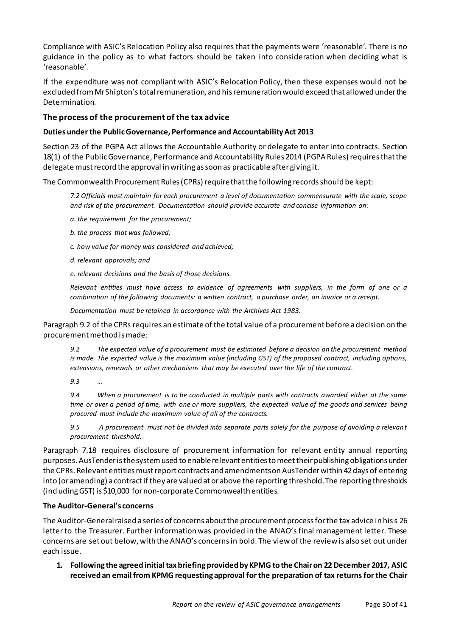Compliance with ASIC's Relocation Policy also requires that the payments were 'reasonable'. There is no guidance in the policy as to what factors should be taken into consideration when deciding what is 'reasonable'.

If the expenditure was not compliant with ASIC's Relocation Policy, then these expenses would not be excluded from Mr Shipton's total remuneration, and his remuneration would exceed that allowed under the Determination.

# <span id="page-29-0"></span>**The process of the procurement of the tax advice**

#### <span id="page-29-1"></span>**Duties under the Public Governance, Performance and Accountability Act 2013**

Section 23 of the PGPA Act allows the Accountable Authority or delegate to enter into contracts. Section 18(1) of the Public Governance, Performance and Accountability Rules 2014 (PGPA Rules) requiresthat the delegate must record the approval in writing as soon as practicable after giving it.

The Commonwealth Procurement Rules (CPRs) require that the following records should be kept:

*7.2 Officials must maintain for each procurement a level of documentation commensurate with the scale, scope and risk of the procurement. Documentation should provide accurate and concise information on:*

*a. the requirement for the procurement;*

*b. the process that was followed;*

*c. how value for money was considered and achieved;*

*d. relevant approvals; and*

*e. relevant decisions and the basis of those decisions.*

*Relevant entities must have access to evidence of agreements with suppliers, in the form of one or a combination of the following documents: a written contract, a purchase order, an invoice or a receipt.*

*Documentation must be retained in accordance with the Archives Act 1983.*

Paragraph 9.2 of the CPRs requires an estimate of the total value of a procurement before a decision on the procurement method is made:

*9.2 The expected value of a procurement must be estimated before a decision on the procurement method is made. The expected value is the maximum value (including GST) of the proposed contract, including options, extensions, renewals or other mechanisms that may be executed over the life of the contract.*

*9.3 …* 

*9.4 When a procurement is to be conducted in multiple parts with contracts awarded either at the same time or over a period of time, with one or more suppliers, the expected value of the goods and services being procured must include the maximum value of all of the contracts.*

*9.5 A procurement must not be divided into separate parts solely for the purpose of avoiding a relevant procurement threshold.*

Paragraph 7.18 requires disclosure of procurement information for relevant entity annual reporting purposes. AusTender is the system used to enable relevant entities to meettheir publishingobligations under the CPRs. Relevant entities must report contracts and amendments on AusTender within 42 days of entering into (or amending) a contract if they are valued at or above the reporting threshold. The reporting thresholds (including GST) is \$10,000 for non-corporate Commonwealth entities.

#### <span id="page-29-2"></span>**The Auditor-General's concerns**

The Auditor-General raised a series of concerns about the procurement processfor the tax advice in his s 26 letter to the Treasurer. Further information was provided in the ANAO's final management letter. These concerns are set out below, with the ANAO's concerns in bold. The view of the review is also set out under each issue.

**1. Following the agreed initial tax briefing provided by KPMG to the Chair on 22 December 2017, ASIC received an email from KPMG requesting approval for the preparation of tax returns for the Chair**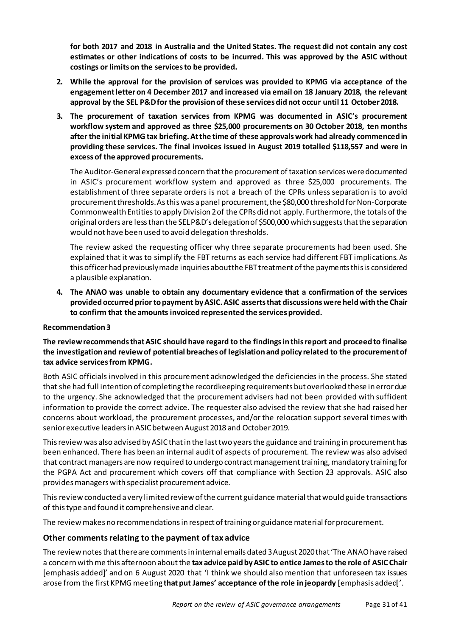**for both 2017 and 2018 in Australia and the United States. The request did not contain any cost estimates or other indications of costs to be incurred. This was approved by the ASIC without costings or limits on the services to be provided.**

- **2. While the approval for the provision of services was provided to KPMG via acceptance of the engagement letter on 4 December 2017 and increased via email on 18 January 2018, the relevant approval by the SEL P&D for the provision of these services did not occur until 11 October 2018.**
- **3. The procurement of taxation services from KPMG was documented in ASIC's procurement workflow system and approved as three \$25,000 procurements on 30 October 2018, ten months after the initial KPMG tax briefing. At the time of these approvals work had already commenced in providing these services. The final invoices issued in August 2019 totalled \$118,557 and were in excess of the approved procurements.**

The Auditor-General expressedconcern that the procurement of taxation services were documented in ASIC's procurement workflow system and approved as three \$25,000 procurements. The establishment of three separate orders is not a breach of the CPRs unless separation is to avoid procurement thresholds. As this was a panel procurement, the \$80,000 threshold for Non-Corporate Commonwealth Entities to apply Division 2 of the CPRs did not apply. Furthermore, the totals of the original orders are less than the SEL P&D's delegation of \$500,000 which suggests thatthe separation would not have been used to avoid delegation thresholds.

The review asked the requesting officer why three separate procurements had been used. She explained that it was to simplify the FBT returns as each service had different FBT implications. As this officer had previously made inquiries about the FBT treatment of the payments this is considered a plausible explanation.

**4. The ANAO was unable to obtain any documentary evidence that a confirmation of the services provided occurred prior to payment by ASIC. ASIC asserts that discussions were held with the Chair to confirm that the amounts invoiced represented the services provided.** 

# **Recommendation3**

**The review recommends that ASIC should have regard to the findings in this report and proceed to finalise the investigation and review of potential breaches of legislation and policy related to the procurement of tax advice services from KPMG.**

Both ASIC officials involved in this procurement acknowledged the deficiencies in the process. She stated that she had full intention of completing the recordkeeping requirements but overlooked these in error due to the urgency. She acknowledged that the procurement advisers had not been provided with sufficient information to provide the correct advice. The requester also advised the review that she had raised her concerns about workload, the procurement processes, and/or the relocation support several times with senior executive leaders in ASIC between August 2018 and October 2019.

Thisreview was also advised by ASIC that in the last two years the guidance and training in procurement has been enhanced. There has been an internal audit of aspects of procurement. The review was also advised that contract managers are now required to undergo contract management training,mandatory training for the PGPA Act and procurement which covers off that compliance with Section 23 approvals. ASIC also provides managers with specialist procurement advice.

This review conducted a very limited review of the current guidance material that would guide transactions of this type and found it comprehensive and clear.

The review makes no recommendations in respect of training or guidance material for procurement.

# <span id="page-30-0"></span>**Other comments relating to the payment of tax advice**

The review notes that there are comments in internal emails dated 3 August 2020 that 'The ANAO have raised a concern with me this afternoon about the **tax advice paid by ASIC to entice James to the role of ASIC Chair** [emphasis added]' and on 6 August 2020 that 'I think we should also mention that unforeseen tax issues arose from the first KPMG meeting **that put James' acceptance of the role in jeopardy** [emphasis added]'.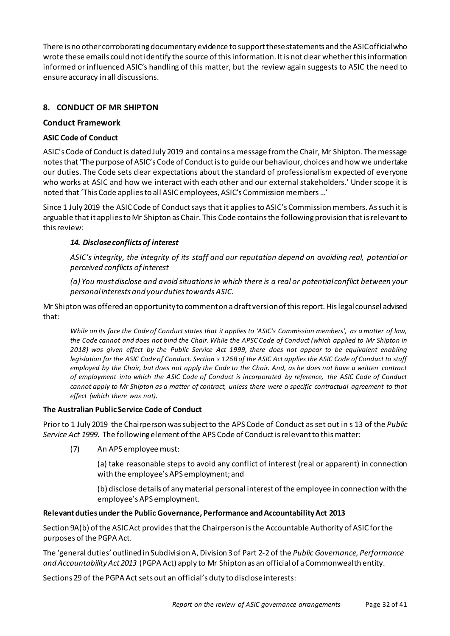There is no other corroborating documentary evidence to support these statements and the ASIC official who wrote these emails could not identify the source of this information. It is not clear whether this information informed or influenced ASIC's handling of this matter, but the review again suggests to ASIC the need to ensure accuracy in all discussions.

# <span id="page-31-0"></span>**8. CONDUCT OF MR SHIPTON**

## <span id="page-31-1"></span>**Conduct Framework**

## <span id="page-31-2"></span>**ASIC Code of Conduct**

ASIC's Code of Conduct is dated July 2019 and contains a message from the Chair, Mr Shipton. The message notes that 'The purpose of ASIC's Code of Conduct is to guide our behaviour, choices and how we undertake our duties. The Code sets clear expectations about the standard of professionalism expected of everyone who works at ASIC and how we interact with each other and our external stakeholders.' Under scope it is noted that 'This Code applies to all ASIC employees, ASIC's Commission members …'

Since 1 July 2019 the ASIC Code of Conduct says that it applies to ASIC's Commission members. As such it is arguable that it applies to Mr Shipton as Chair. This Code contains the following provision that isrelevant to this review:

# *14. Disclose conflicts of interest*

*ASIC's integrity, the integrity of its staff and our reputation depend on avoiding real, potential or perceived conflicts of interest*

*(a) You must disclose and avoid situations in which there is a real or potential conflict between your personal interests and your duties towards ASIC.*

Mr Shipton was offered an opportunity to comment on a draft version of this report. His legal counsel advised that:

*While on its face the Code of Conduct states that it applies to 'ASIC's Commission members', as a matter of law, the Code cannot and does not bind the Chair. While the APSC Code of Conduct (which applied to Mr Shipton in 2018) was given effect by the Public Service Act 1999, there does not appear to be equivalent enabling legislation for the ASIC Code of Conduct. Section s 126B of the ASIC Act applies the ASIC Code of Conduct to staff employed by the Chair, but does not apply the Code to the Chair. And, as he does not have a written contract of employment into which the ASIC Code of Conduct is incorporated by reference, the ASIC Code of Conduct cannot apply to Mr Shipton as a matter of contract, unless there were a specific contractual agreement to that effect (which there was not).*

#### <span id="page-31-3"></span>**The Australian Public Service Code of Conduct**

Prior to 1 July 2019 the Chairperson was subject to the APS Code of Conduct as set out in s 13 of the *Public Service Act 1999*. The following element of the APS Code of Conduct is relevant to this matter:

(7) An APS employee must:

(a) take reasonable steps to avoid any conflict of interest (real or apparent) in connection with the employee's APS employment; and

(b) disclose details of any material personal interest of the employee in connection with the employee's APS employment.

# <span id="page-31-4"></span>**Relevant duties under the Public Governance, Performance and Accountability Act 2013**

Section 9A(b) of the ASIC Act provides that the Chairperson is the Accountable Authority of ASIC for the purposes of the PGPA Act.

The 'general duties' outlined in Subdivision A, Division 3 of Part 2-2 of the *Public Governance, Performance and Accountability Act 2013* (PGPA Act) apply to Mr Shipton as an official of a Commonwealth entity.

Sections 29 of the PGPA Act sets out an official's duty to disclose interests: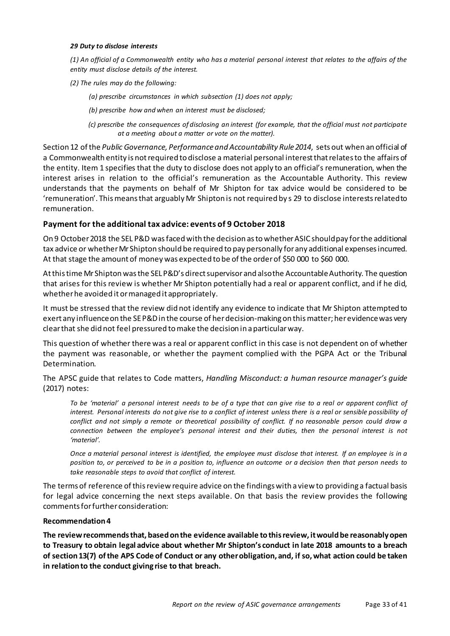#### *29 Duty to disclose interests*

*(1) An official of a Commonwealth entity who has a material personal interest that relates to the affairs of the entity must disclose details of the interest.*

*(2) The rules may do the following:*

 *(a) prescribe circumstances in which subsection (1) does not apply;*

 *(b) prescribe how and when an interest must be disclosed;*

 *(c) prescribe the consequences of disclosing an interest (for example, that the official must not participate at a meeting about a matter or vote on the matter).*

Section 12 of the *Public Governance, Performance and Accountability Rule 2014*, sets out when an official of a Commonwealth entity is not required to disclose a material personal interest that relates to the affairs of the entity. Item 1 specifies that the duty to disclose does not apply to an official's remuneration, when the interest arises in relation to the official's remuneration as the Accountable Authority. This review understands that the payments on behalf of Mr Shipton for tax advice would be considered to be 'remuneration'. This means that arguably Mr Shipton is not required by s 29 to disclose interests related to remuneration.

#### <span id="page-32-0"></span>**Payment for the additional tax advice: events of 9 October 2018**

On 9 October 2018 the SEL P&D was faced with the decision as to whether ASIC should pay for the additional tax advice or whether Mr Shipton should be required to pay personally for any additional expenses incurred. At that stage the amount of money was expected to be of the order of \$50 000 to \$60 000.

At this time Mr Shipton was the SEL P&D's direct supervisor and also the Accountable Authority. The question that arises for this review is whether Mr Shipton potentially had a real or apparent conflict, and if he did, whether he avoided it or managed it appropriately.

It must be stressed that the review did not identify any evidence to indicate that Mr Shipton attempted to exert any influence on the SE P&Din the course of her decision-making on this matter; her evidence was very clear that she did not feel pressured to make the decision in a particular way.

This question of whether there was a real or apparent conflict in this case is not dependent on of whether the payment was reasonable, or whether the payment complied with the PGPA Act or the Tribunal Determination.

The APSC guide that relates to Code matters, *Handling Misconduct: a human resource manager's guide* (2017) notes:

*To be 'material' a personal interest needs to be of a type that can give rise to a real or apparent conflict of interest. Personal interests do not give rise to a conflict of interest unless there is a real or sensible possibility of conflict and not simply a remote or theoretical possibility of conflict. If no reasonable person could draw a connection between the employee's personal interest and their duties, then the personal interest is not 'material'.* 

*Once a material personal interest is identified, the employee must disclose that interest. If an employee is in a position to, or perceived to be in a position to, influence an outcome or a decision then that person needs to take reasonable steps to avoid that conflict of interest.*

The terms of reference of this review require advice on the findings with a view to providing a factual basis for legal advice concerning the next steps available. On that basis the review provides the following commentsfor further consideration:

#### **Recommendation4**

**The review recommends that, based on the evidence available to this review, it would be reasonably open to Treasury to obtain legal advice about whether Mr Shipton's conduct in late 2018 amounts to a breach of section 13(7) of the APS Code of Conduct or any other obligation, and, if so, what action could be taken in relation to the conduct giving rise to that breach.**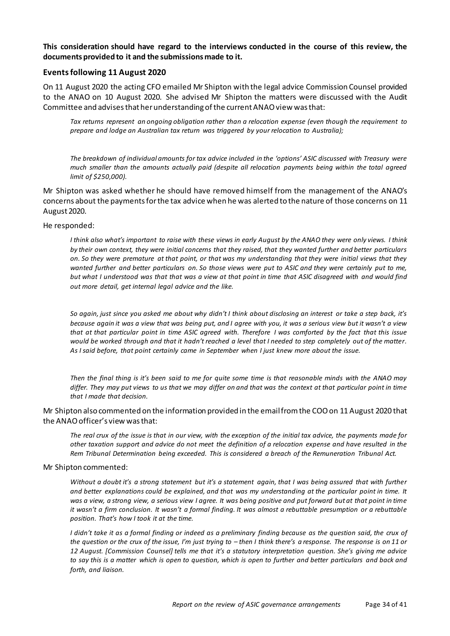**This consideration should have regard to the interviews conducted in the course of this review, the documents provided to it and the submissions made to it.**

#### <span id="page-33-0"></span>**Events following 11 August 2020**

On 11 August 2020 the acting CFO emailed Mr Shipton with the legal advice Commission Counsel provided to the ANAO on 10 August 2020. She advised Mr Shipton the matters were discussed with the Audit Committee and advises that her understanding of the current ANAO view was that:

*Tax returns represent an ongoing obligation rather than a relocation expense (even though the requirement to prepare and lodge an Australian tax return was triggered by your relocation to Australia);*

*The breakdown of individual amounts for tax advice included in the 'options' ASIC discussed with Treasury were much smaller than the amounts actually paid (despite all relocation payments being within the total agreed limit of \$250,000).*

Mr Shipton was asked whether he should have removed himself from the management of the ANAO's concerns about the payments for the tax advice when he was alerted to the nature of those concerns on 11 August 2020.

#### He responded:

*I think also what's important to raise with these views in early August by the ANAO they were only views. I think by their own context, they were initial concerns that they raised, that they wanted further and better particulars on. So they were premature at that point, or that was my understanding that they were initial views that they wanted further and better particulars on. So those views were put to ASIC and they were certainly put to me, but what I understood was that that was a view at that point in time that ASIC disagreed with and would find out more detail, get internal legal advice and the like.*

*So again, just since you asked me about why didn't I think about disclosing an interest or take a step back, it's because again it was a view that was being put, and I agree with you, it was a serious view but it wasn't a view that at that particular point in time ASIC agreed with. Therefore I was comforted by the fact that this issue would be worked through and that it hadn't reached a level that I needed to step completely out of the matter. As I said before, that point certainly came in September when I just knew more about the issue.*

*Then the final thing is it's been said to me for quite some time is that reasonable minds with the ANAO may differ. They may put views to us that we may differ on and that was the context at that particular point in time that I made that decision.* 

#### Mr Shipton also commented on the information provided in the email from the COO on 11 August 2020 that the ANAO officer's view was that:

*The real crux of the issue is that in our view, with the exception of the initial tax advice, the payments made for other taxation support and advice do not meet the definition of a relocation expense and have resulted in the Rem Tribunal Determination being exceeded. This is considered a breach of the Remuneration Tribunal Act.*

#### Mr Shipton commented:

*Without a doubt it's a strong statement but it's a statement again, that I was being assured that with further and better explanations could be explained, and that was my understanding at the particular point in time. It was a view, a strong view, a serious view I agree. It was being positive and put forward but at that point in time it wasn't a firm conclusion. It wasn't a formal finding. It was almost a rebuttable presumption or a rebuttable position. That's how I took it at the time.* 

*I didn't take it as a formal finding or indeed as a preliminary finding because as the question said, the crux of the question or the crux of the issue, I'm just trying to – then I think there's a response. The response is on 11 or 12 August. [Commission Counsel] tells me that it's a statutory interpretation question. She's giving me advice*  to say this is a matter which is open to question, which is open to further and better particulars and back and *forth, and liaison.*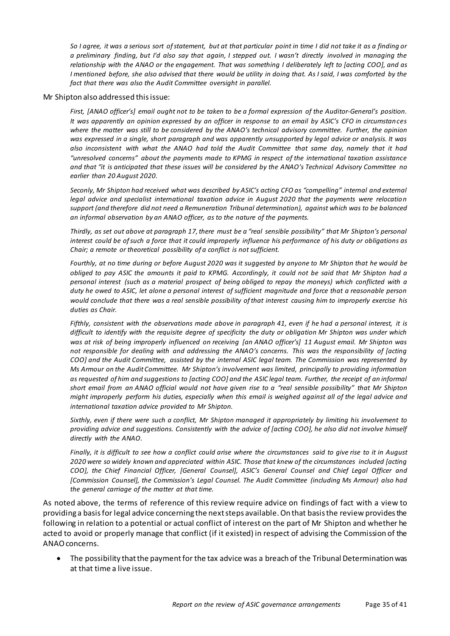*So I agree, it was a serious sort of statement, but at that particular point in time I did not take it as a finding or a preliminary finding, but I'd also say that again, I stepped out. I wasn't directly involved in managing the relationship with the ANAO or the engagement. That was something I deliberately left to [acting COO], and as I* mentioned before, she also advised that there would be utility in doing that. As I said, I was comforted by the *fact that there was also the Audit Committee oversight in parallel.*

#### Mr Shipton also addressed this issue:

*First, [ANAO officer's] email ought not to be taken to be a formal expression of the Auditor-General's position. It was apparently an opinion expressed by an officer in response to an email by ASIC's CFO in circumstances where the matter was still to be considered by the ANAO's technical advisory committee. Further, the opinion was expressed in a single, short paragraph and was apparently unsupported by legal advice or analysis. It was also inconsistent with what the ANAO had told the Audit Committee that same day, namely that it had "unresolved concerns" about the payments made to KPMG in respect of the international taxation assistance and that "it is anticipated that these issues will be considered by the ANAO's Technical Advisory Committee no earlier than 20 August 2020.*

*Seconly, Mr Shipton had received what was described by ASIC's acting CFO as "compelling" internal and external legal advice and specialist international taxation advice in August 2020 that the payments were relocation support (and therefore did not need a Remuneration Tribunal determination), against which was to be balanced an informal observation by an ANAO officer, as to the nature of the payments.*

*Thirdly, as set out above at paragraph 17, there must be a "real sensible possibility" that Mr Shipton's personal interest could be of such a force that it could improperly influence his performance of his duty or obligations as Chair; a remote or theoretical possibility of a conflict is not sufficient.*

*Fourthly, at no time during or before August 2020 was it suggested by anyone to Mr Shipton that he would be obliged to pay ASIC the amounts it paid to KPMG. Accordingly, it could not be said that Mr Shipton had a personal interest (such as a material prospect of being obliged to repay the moneys) which conflicted with a duty he owed to ASIC, let alone a personal interest of sufficient magnitude and force that a reasonable person would conclude that there was a real sensible possibility of that interest causing him to improperly exercise his duties as Chair.*

*Fifthly, consistent with the observations made above in paragraph 41, even if he had a personal interest, it is difficult to identify with the requisite degree of specificity the duty or obligation Mr Shipton was under which was at risk of being improperly influenced on receiving [an ANAO officer's] 11 August email. Mr Shipton was*  not responsible for dealing with and addressing the ANAO's concerns. This was the responsibility of [acting *COO] and the Audit Committee, assisted by the internal ASIC legal team. The Commission was represented by Ms Armour on the Audit Committee. Mr Shipton's involvement was limited, principally to providing information as requested of him and suggestions to [acting COO] and the ASIC legal team. Further, the receipt of an informal short email from an ANAO official would not have given rise to a "real sensible possibility" that Mr Shipton might improperly perform his duties, especially when this email is weighed against all of the legal advice and international taxation advice provided to Mr Shipton.*

*Sixthly, even if there were such a conflict, Mr Shipton managed it appropriately by limiting his involvement to providing advice and suggestions. Consistently with the advice of [acting COO], he also did not involve himself directly with the ANAO.*

*Finally, it is difficult to see how a conflict could arise where the circumstances said to give rise to it in August 2020 were so widely known and appreciated within ASIC. Those that knew of the circumstances included [acting COO], the Chief Financial Officer, [General Counsel], ASIC's General Counsel and Chief Legal Officer and [Commission Counsel], the Commission's Legal Counsel. The Audit Committee (including Ms Armour) also had the general carriage of the matter at that time.*

As noted above, the terms of reference of this review require advice on findings of fact with a view to providing a basis for legal advice concerning the next steps available. On that basis the review provides the following in relation to a potential or actual conflict of interest on the part of Mr Shipton and whether he acted to avoid or properly manage that conflict (if it existed) in respect of advising the Commission of the ANAO concerns.

• The possibility that the payment for the tax advice was a breach of the Tribunal Determination was at that time a live issue.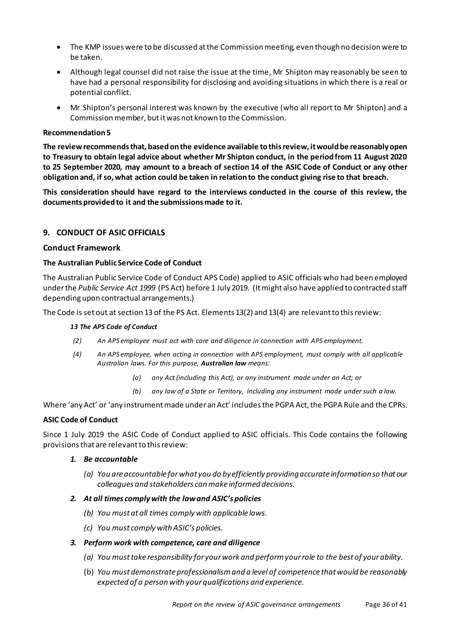- The KMP issues were to be discussed at the Commission meeting, even though no decision were to be taken.
- Although legal counsel did not raise the issue at the time, Mr Shipton may reasonably be seen to have had a personal responsibility for disclosing and avoiding situations in which there is a real or potential conflict.
- Mr Shipton's personal interest was known by the executive (who all report to Mr Shipton) and a Commission member, but it was not known to the Commission.

#### **Recommendation5**

**The review recommends that, based on the evidence available to this review, it would be reasonably open to Treasury to obtain legal advice about whether Mr Shipton conduct, in the period from 11 August 2020 to 25 September 2020, may amount to a breach of section 14 of the ASIC Code of Conduct or any other obligationand, if so, what action could be taken in relation to the conduct giving rise to that breach.**

**This consideration should have regard to the interviews conducted in the course of this review, the documents provided to it and the submissions made to it.**

#### <span id="page-35-0"></span>**9. CONDUCT OF ASIC OFFICIALS**

#### <span id="page-35-1"></span>**Conduct Framework**

#### <span id="page-35-2"></span>**The Australian Public Service Code of Conduct**

The Australian Public Service Code of Conduct APS Code) applied to ASIC officials who had been employed under the *Public Service Act 1999* (PS Act) before 1 July 2019. (It might also have applied to contracted staff depending upon contractual arrangements.)

The Code is set out at section 13 of the PS Act. Elements 13(2) and 13(4) are relevant to this review:

#### *13 The APS Code of Conduct*

- *(2) An APS employee must act with care and diligence in connection with APS employment.*
- *(4) An APS employee, when acting in connection with APS employment, must comply with all applicable Australian laws. For this purpose, Australian law means:*
	- *(a) any Act (including this Act), or any instrument made under an Act; or*
	- *(b) any law of a State or Territory, including any instrument made under such a law.*

Where 'any Act' or 'any instrument made under an Act' includes the PGPA Act, the PGPA Rule and the CPRs.

#### <span id="page-35-3"></span>**ASIC Code of Conduct**

Since 1 July 2019 the ASIC Code of Conduct applied to ASIC officials. This Code contains the following provisions that are relevant to this review:

#### *1. Be accountable*

*(a) You are accountable for what you do by efficiently providing accurate information so that our colleagues and stakeholders can make informed decisions.*

#### *2. At all times comply with the law and ASIC's policies*

- *(b) You must at all times comply with applicable laws.*
- *(c) You must comply with ASIC's policies.*

#### *3. Perform work with competence, care and diligence*

- *(a) You must take responsibility for your work and perform your role to the best of your ability.*
- (b) *You must demonstrate professionalism and a level of competence that would be reasonably expected of a person with your qualifications and experience.*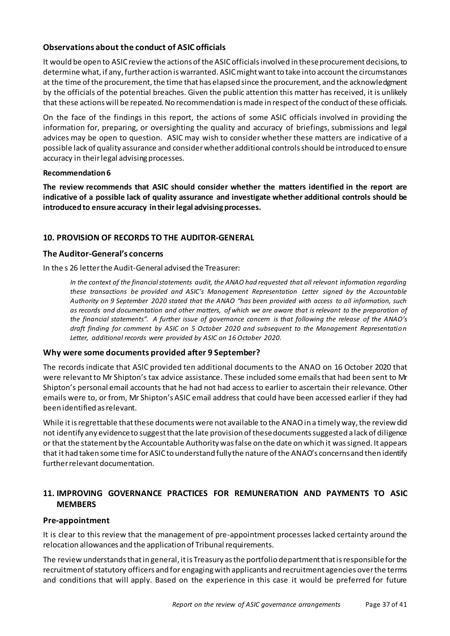# <span id="page-36-0"></span>**Observations about the conduct of ASIC officials**

It would be open to ASIC review the actions of the ASIC officials involved in theseprocurement decisions, to determine what, if any, further action is warranted. ASIC might want to take into account the circumstances at the time of the procurement, the time that has elapsed since the procurement, and the acknowledgment by the officials of the potential breaches. Given the public attention this matter has received, it is unlikely that these actions will be repeated. No recommendation is made in respect of the conduct of these officials.

On the face of the findings in this report, the actions of some ASIC officials involved in providing the information for, preparing, or oversighting the quality and accuracy of briefings, submissions and legal advices may be open to question. ASIC may wish to consider whether these matters are indicative of a possible lack of quality assurance and consider whether additional controls should be introduced to ensure accuracy in their legal advising processes.

#### **Recommendation6**

**The review recommends that ASIC should consider whether the matters identified in the report are indicative of a possible lack of quality assurance and investigate whether additional controls should be introducedto ensure accuracy in their legal advising processes.**

# <span id="page-36-1"></span>**10. PROVISION OF RECORDS TO THE AUDITOR-GENERAL**

# <span id="page-36-2"></span>**The Auditor-General's concerns**

In the s 26 letter the Audit-General advised the Treasurer:

*In the context of the financial statements audit, the ANAO had requested that all relevant information regarding these transactions be provided and ASIC's Management Representation Letter signed by the Accountable Authority on 9 September 2020 stated that the ANAO "has been provided with access to all information, such as records and documentation and other matters, of which we are aware that is relevant to the preparation of the financial statements". A further issue of governance concern is that following the release of the ANAO's draft finding for comment by ASIC on 5 October 2020 and subsequent to the Management Representation Letter, additional records were provided by ASIC on 16 October 2020.*

# <span id="page-36-3"></span>**Why were some documents provided after 9 September?**

The records indicate that ASIC provided ten additional documents to the ANAO on 16 October 2020 that were relevant to Mr Shipton's tax advice assistance. These included some emails that had been sent to Mr Shipton's personal email accounts that he had not had access to earlier to ascertain their relevance. Other emails were to, or from, Mr Shipton's ASIC email address that could have been accessed earlier if they had been identified as relevant.

While it is regrettable that these documents were not available to the ANAO in a timely way, the review did not identify any evidence to suggest that the late provision of these documents suggested a lack of diligence or that the statement by the Accountable Authority was false on the date on which it was signed. It appears that it had taken some time for ASIC to understand fully the nature of the ANAO's concerns and then identify further relevant documentation.

# <span id="page-36-4"></span>**11. IMPROVING GOVERNANCE PRACTICES FOR REMUNERATION AND PAYMENTS TO ASIC MEMBERS**

# <span id="page-36-5"></span>**Pre-appointment**

It is clear to this review that the management of pre-appointment processes lacked certainty around the relocation allowances and the application of Tribunal requirements.

The review understands that in general, it is Treasury as the portfolio department that is responsible for the recruitment of statutory officers and for engaging with applicants and recruitment agencies over the terms and conditions that will apply. Based on the experience in this case it would be preferred for future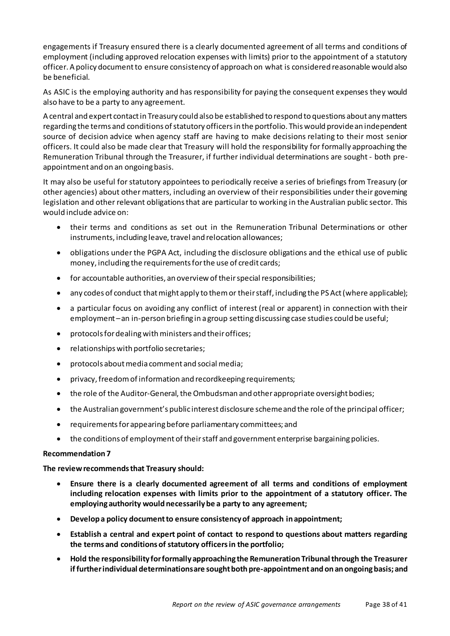engagements if Treasury ensured there is a clearly documented agreement of all terms and conditions of employment (including approved relocation expenses with limits) prior to the appointment of a statutory officer. A policy document to ensure consistency of approach on what is considered reasonable would also be beneficial.

As ASIC is the employing authority and has responsibility for paying the consequent expenses they would also have to be a party to any agreement.

A central and expert contact in Treasury could also be established to respond to questions about any matters regarding the terms and conditions of statutory officers in the portfolio. This would provide an independent source of decision advice when agency staff are having to make decisions relating to their most senior officers. It could also be made clear that Treasury will hold the responsibility for formally approaching the Remuneration Tribunal through the Treasurer, if further individual determinations are sought - both preappointment and on an ongoing basis.

It may also be useful for statutory appointees to periodically receive a series of briefings from Treasury (or other agencies) about other matters, including an overview of their responsibilities under their governing legislation and other relevant obligations that are particular to working in the Australian public sector. This would include advice on:

- their terms and conditions as set out in the Remuneration Tribunal Determinations or other instruments, including leave, travel and relocation allowances;
- obligations under the PGPA Act, including the disclosure obligations and the ethical use of public money, including the requirements for the use of credit cards;
- for accountable authorities, an overview of their special responsibilities;
- any codes of conduct that might apply to them or their staff, including the PS Act (where applicable);
- a particular focus on avoiding any conflict of interest (real or apparent) in connection with their employment –an in-person briefing in a group setting discussing case studies could be useful;
- protocols for dealing with ministers and their offices;
- relationships with portfolio secretaries;
- protocols about media comment and social media;
- privacy, freedom of information and recordkeeping requirements;
- the role of the Auditor-General, the Ombudsman and other appropriate oversight bodies;
- the Australian government's public interest disclosure scheme and the role of the principal officer;
- requirements for appearing before parliamentary committees; and
- the conditions of employment of their staff and government enterprise bargaining policies.

#### **Recommendation7**

**The review recommends that Treasury should:**

- **Ensure there is a clearly documented agreement of all terms and conditions of employment including relocation expenses with limits prior to the appointment of a statutory officer. The employing authority would necessarily be a party to any agreement;**
- **Develop a policy document to ensure consistency of approach in appointment;**
- **Establish a central and expert point of contact to respond to questions about matters regarding the terms and conditions of statutory officers in the portfolio;**
- **Hold the responsibility for formally approaching the Remuneration Tribunal through the Treasurer if further individual determinations are sought both pre-appointment and on an ongoing basis; and**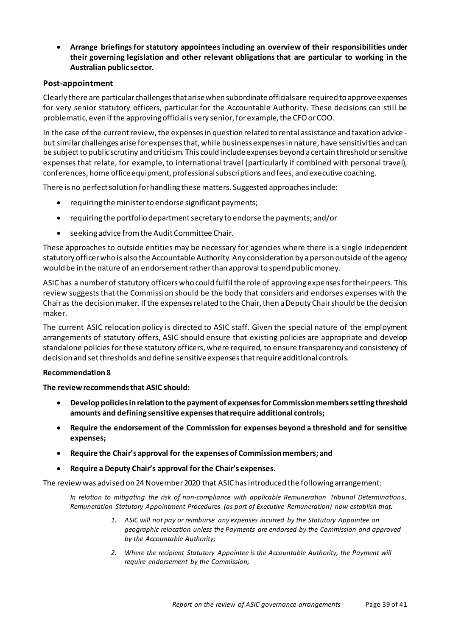• **Arrange briefings for statutory appointees including an overview of their responsibilities under their governing legislation and other relevant obligations that are particular to working in the Australian public sector.** 

## <span id="page-38-0"></span>**Post-appointment**

Clearly there are particular challenges that arise when subordinate officials are required to approve expenses for very senior statutory officers, particular for the Accountable Authority. These decisions can still be problematic, even if the approving official is very senior, for example, the CFO or COO.

In the case of the current review, the expenses in question related to rental assistance and taxation advice but similar challenges arise for expenses that, while business expenses in nature, have sensitivities and can be subject to public scrutiny and criticism. This could include expenses beyond a certain threshold or sensitive expenses that relate, for example, to international travel (particularly if combined with personal travel), conferences, home office equipment, professional subscriptions and fees, and executive coaching.

There is no perfect solution for handling these matters. Suggested approaches include:

- requiring the minister to endorse significant payments;
- requiring the portfolio department secretary to endorse the payments; and/or
- seeking advice from the Audit Committee Chair.

These approaches to outside entities may be necessary for agencies where there is a single independent statutory officer who is also the Accountable Authority. Any consideration by a person outside of the agency would be in the nature of an endorsement rather than approval to spend public money.

ASIC has a number of statutory officers who could fulfil the role of approving expenses for their peers. This review suggests that the Commission should be the body that considers and endorses expenses with the Chair as the decision maker. If the expenses related to the Chair, then a Deputy Chair should be the decision maker.

The current ASIC relocation policy is directed to ASIC staff. Given the special nature of the employment arrangements of statutory offers, ASIC should ensure that existing policies are appropriate and develop standalone policies for these statutory officers, where required, to ensure transparency and consistency of decision and set thresholds and define sensitive expenses that require additional controls.

#### **Recommendation8**

**The review recommends that ASIC should:**

- **Develop policies in relation to the payment of expenses for Commission members setting threshold amounts and defining sensitive expenses that require additional controls;**
- **Require the endorsement of the Commission for expenses beyond a threshold and for sensitive expenses;**
- **Require the Chair's approval for the expenses of Commission members; and**
- **Require a Deputy Chair's approval for the Chair's expenses.**

The review was advised on 24 November 2020 that ASIC has introduced the following arrangement:

*In relation to mitigating the risk of non-compliance with applicable Remuneration Tribunal Determinations, Remuneration Statutory Appointment Procedures (as part of Executive Remuneration) now establish that:* 

- *1. ASIC will not pay or reimburse any expenses incurred by the Statutory Appointee on geographic relocation unless the Payments are endorsed by the Commission and approved by the Accountable Authority;*
- *2. Where the recipient Statutory Appointee is the Accountable Authority, the Payment will require endorsement by the Commission;*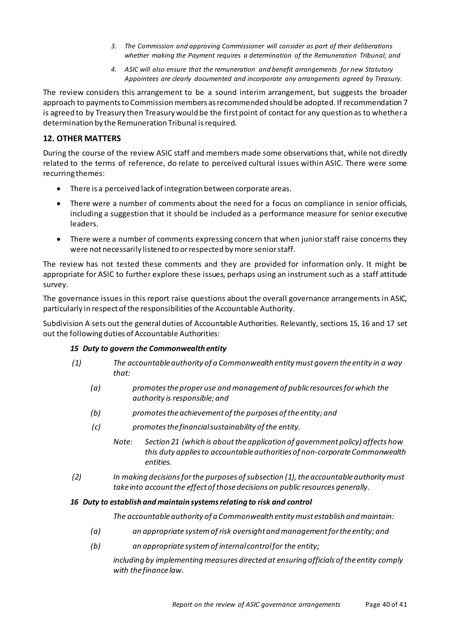- *3. The Commission and approving Commissioner will consider as part of their deliberations whether making the Payment requires a determination of the Remuneration Tribunal; and*
- *4. ASIC will also ensure that the remuneration and benefit arrangements for new Statutory Appointees are clearly documented and incorporate any arrangements agreed by Treasury.*

The review considers this arrangement to be a sound interim arrangement, but suggests the broader approach to payments to Commission members as recommended should be adopted. If recommendation 7 is agreed to by Treasury then Treasury would be the first point of contact for any question as to whether a determination by the Remuneration Tribunal is required.

# <span id="page-39-0"></span>**12. OTHER MATTERS**

During the course of the review ASIC staff and members made some observations that, while not directly related to the terms of reference, do relate to perceived cultural issues within ASIC. There were some recurring themes:

- There is a perceived lack of integration between corporate areas.
- There were a number of comments about the need for a focus on compliance in senior officials, including a suggestion that it should be included as a performance measure for senior executive leaders.
- There were a number of comments expressing concern that when junior staff raise concerns they were not necessarily listened to or respected by more senior staff.

The review has not tested these comments and they are provided for information only. It might be appropriate for ASIC to further explore these issues, perhaps using an instrument such as a staff attitude survey.

The governance issues in this report raise questions about the overall governance arrangements in ASIC, particularly in respect of the responsibilities of the Accountable Authority.

Subdivision A sets out the general duties of Accountable Authorities. Relevantly, sections 15, 16 and 17 set out the following duties of Accountable Authorities:

# *15 Duty to govern the Commonwealth entity*

- *(1) The accountable authority of a Commonwealth entity must govern the entity in a way that:*
	- *(a) promotes the proper use and management of public resources for which the authority is responsible; and*
	- *(b) promotes the achievement of the purposes of the entity; and*
	- *(c) promotes the financial sustainability of the entity.*
		- *Note: Section 21 (which is about the application of government policy) affects how this duty applies to accountable authorities of non-corporate Commonwealth entities.*
- *(2) In making decisions for the purposes of subsection (1), the accountable authority must take into account the effect of those decisions on public resources generally.*

#### *16 Duty to establish and maintain systems relating to risk and control*

*The accountable authority of a Commonwealth entity must establish and maintain:*

- *(a) an appropriate system of risk oversight and management for the entity; and*
- *(b) an appropriate system of internal control for the entity;*

*including by implementing measures directed at ensuring officials of the entity comply with the finance law.*